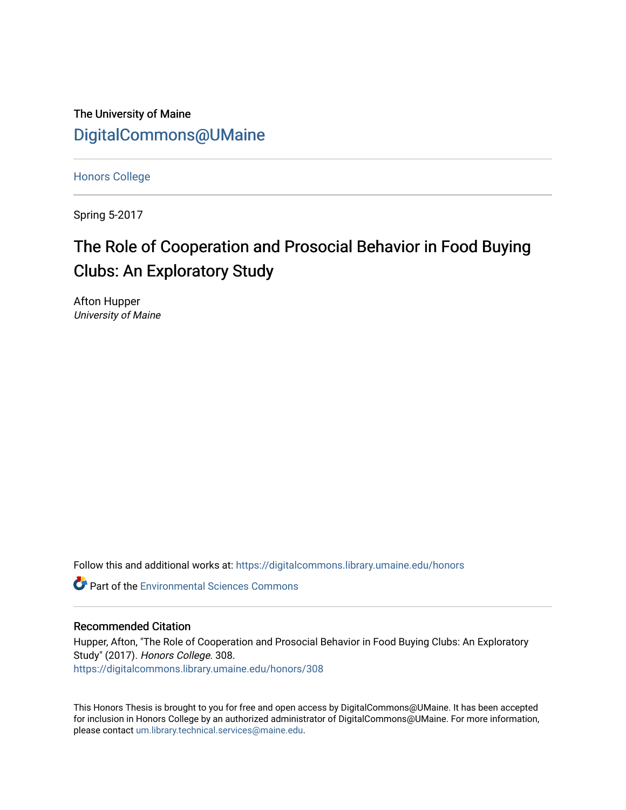The University of Maine [DigitalCommons@UMaine](https://digitalcommons.library.umaine.edu/)

[Honors College](https://digitalcommons.library.umaine.edu/honors)

Spring 5-2017

# The Role of Cooperation and Prosocial Behavior in Food Buying Clubs: An Exploratory Study

Afton Hupper University of Maine

Follow this and additional works at: [https://digitalcommons.library.umaine.edu/honors](https://digitalcommons.library.umaine.edu/honors?utm_source=digitalcommons.library.umaine.edu%2Fhonors%2F308&utm_medium=PDF&utm_campaign=PDFCoverPages) 

**C**<sup> $\bullet$ </sup> Part of the [Environmental Sciences Commons](http://network.bepress.com/hgg/discipline/167?utm_source=digitalcommons.library.umaine.edu%2Fhonors%2F308&utm_medium=PDF&utm_campaign=PDFCoverPages)

#### Recommended Citation

Hupper, Afton, "The Role of Cooperation and Prosocial Behavior in Food Buying Clubs: An Exploratory Study" (2017). Honors College. 308. [https://digitalcommons.library.umaine.edu/honors/308](https://digitalcommons.library.umaine.edu/honors/308?utm_source=digitalcommons.library.umaine.edu%2Fhonors%2F308&utm_medium=PDF&utm_campaign=PDFCoverPages) 

This Honors Thesis is brought to you for free and open access by DigitalCommons@UMaine. It has been accepted for inclusion in Honors College by an authorized administrator of DigitalCommons@UMaine. For more information, please contact [um.library.technical.services@maine.edu.](mailto:um.library.technical.services@maine.edu)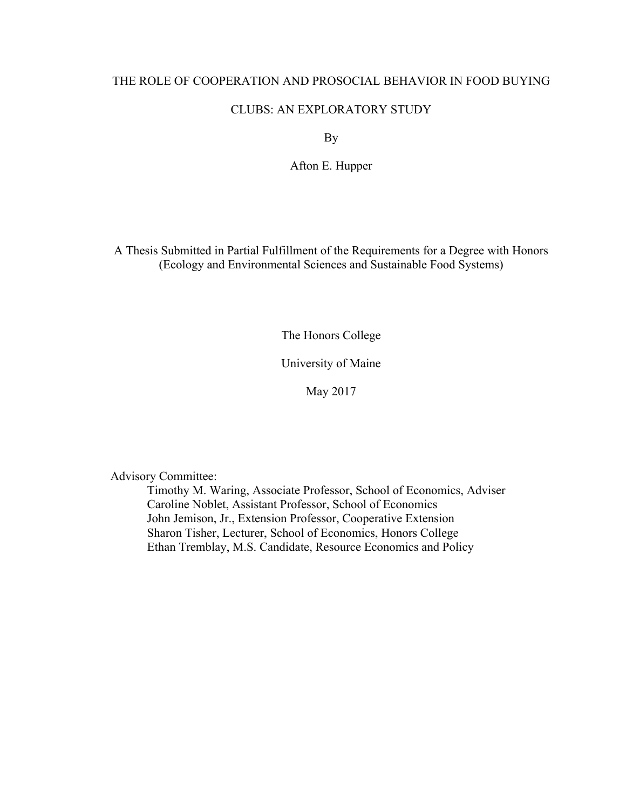#### THE ROLE OF COOPERATION AND PROSOCIAL BEHAVIOR IN FOOD BUYING

#### CLUBS: AN EXPLORATORY STUDY

By

Afton E. Hupper

A Thesis Submitted in Partial Fulfillment of the Requirements for a Degree with Honors (Ecology and Environmental Sciences and Sustainable Food Systems)

The Honors College

University of Maine

May 2017

Advisory Committee:

Timothy M. Waring, Associate Professor, School of Economics, Adviser Caroline Noblet, Assistant Professor, School of Economics John Jemison, Jr., Extension Professor, Cooperative Extension Sharon Tisher, Lecturer, School of Economics, Honors College Ethan Tremblay, M.S. Candidate, Resource Economics and Policy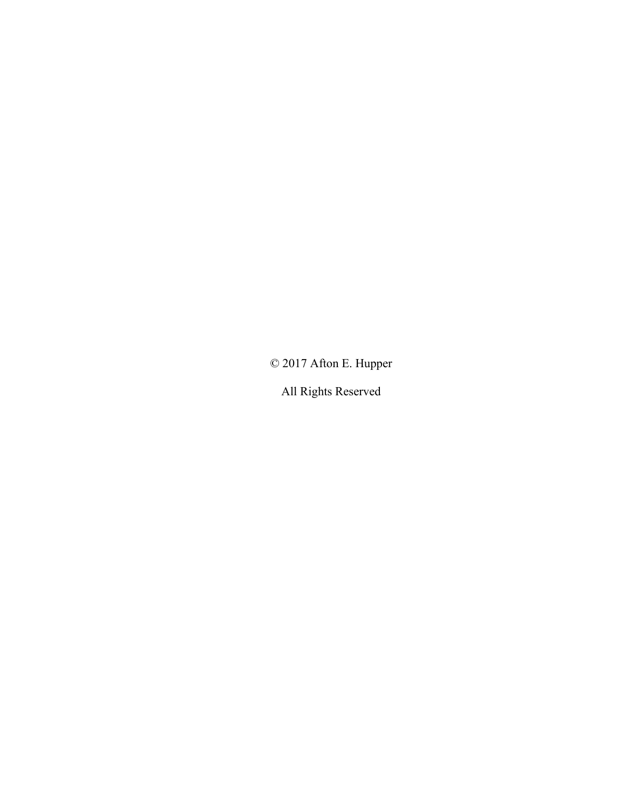© 2017 Afton E. Hupper

All Rights Reserved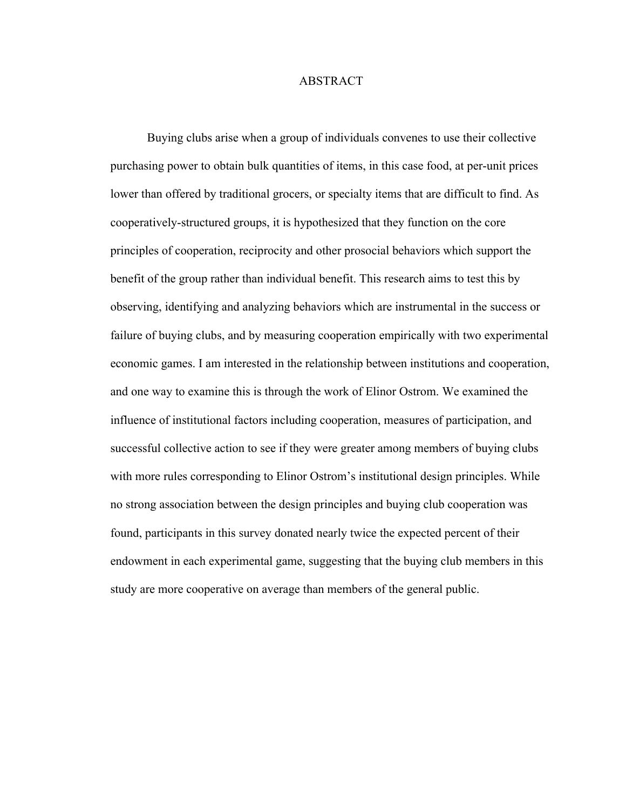#### ABSTRACT

Buying clubs arise when a group of individuals convenes to use their collective purchasing power to obtain bulk quantities of items, in this case food, at per-unit prices lower than offered by traditional grocers, or specialty items that are difficult to find. As cooperatively-structured groups, it is hypothesized that they function on the core principles of cooperation, reciprocity and other prosocial behaviors which support the benefit of the group rather than individual benefit. This research aims to test this by observing, identifying and analyzing behaviors which are instrumental in the success or failure of buying clubs, and by measuring cooperation empirically with two experimental economic games. I am interested in the relationship between institutions and cooperation, and one way to examine this is through the work of Elinor Ostrom. We examined the influence of institutional factors including cooperation, measures of participation, and successful collective action to see if they were greater among members of buying clubs with more rules corresponding to Elinor Ostrom's institutional design principles. While no strong association between the design principles and buying club cooperation was found, participants in this survey donated nearly twice the expected percent of their endowment in each experimental game, suggesting that the buying club members in this study are more cooperative on average than members of the general public.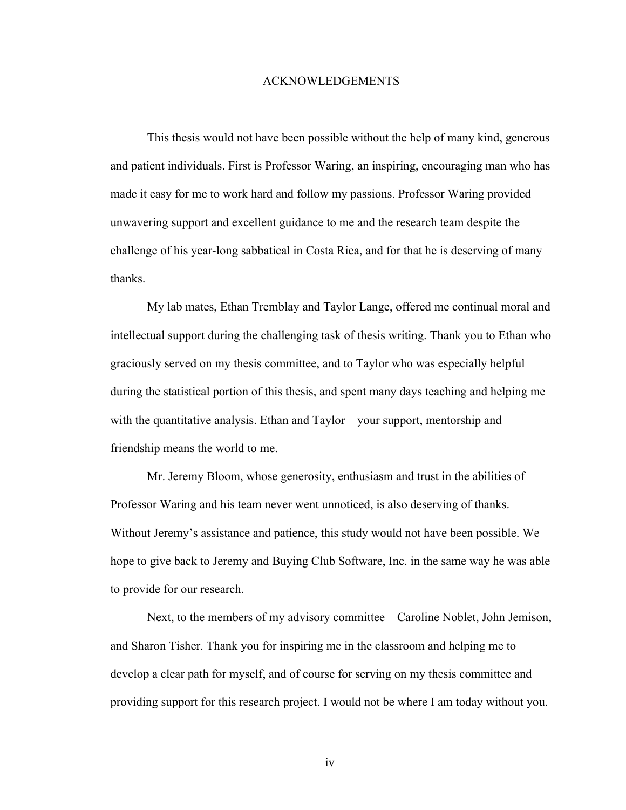#### ACKNOWLEDGEMENTS

This thesis would not have been possible without the help of many kind, generous and patient individuals. First is Professor Waring, an inspiring, encouraging man who has made it easy for me to work hard and follow my passions. Professor Waring provided unwavering support and excellent guidance to me and the research team despite the challenge of his year-long sabbatical in Costa Rica, and for that he is deserving of many thanks.

My lab mates, Ethan Tremblay and Taylor Lange, offered me continual moral and intellectual support during the challenging task of thesis writing. Thank you to Ethan who graciously served on my thesis committee, and to Taylor who was especially helpful during the statistical portion of this thesis, and spent many days teaching and helping me with the quantitative analysis. Ethan and Taylor – your support, mentorship and friendship means the world to me.

Mr. Jeremy Bloom, whose generosity, enthusiasm and trust in the abilities of Professor Waring and his team never went unnoticed, is also deserving of thanks. Without Jeremy's assistance and patience, this study would not have been possible. We hope to give back to Jeremy and Buying Club Software, Inc. in the same way he was able to provide for our research.

Next, to the members of my advisory committee – Caroline Noblet, John Jemison, and Sharon Tisher. Thank you for inspiring me in the classroom and helping me to develop a clear path for myself, and of course for serving on my thesis committee and providing support for this research project. I would not be where I am today without you.

iv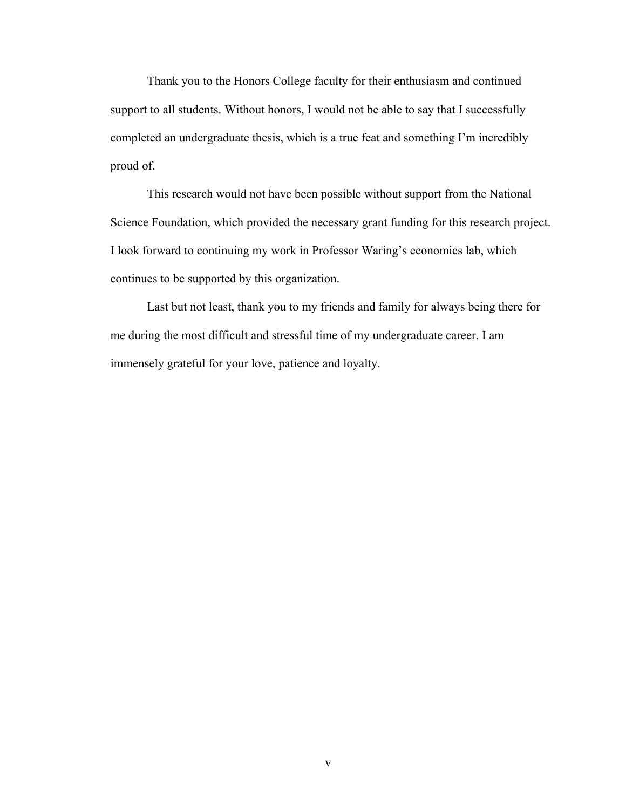Thank you to the Honors College faculty for their enthusiasm and continued support to all students. Without honors, I would not be able to say that I successfully completed an undergraduate thesis, which is a true feat and something I'm incredibly proud of.

This research would not have been possible without support from the National Science Foundation, which provided the necessary grant funding for this research project. I look forward to continuing my work in Professor Waring's economics lab, which continues to be supported by this organization.

Last but not least, thank you to my friends and family for always being there for me during the most difficult and stressful time of my undergraduate career. I am immensely grateful for your love, patience and loyalty.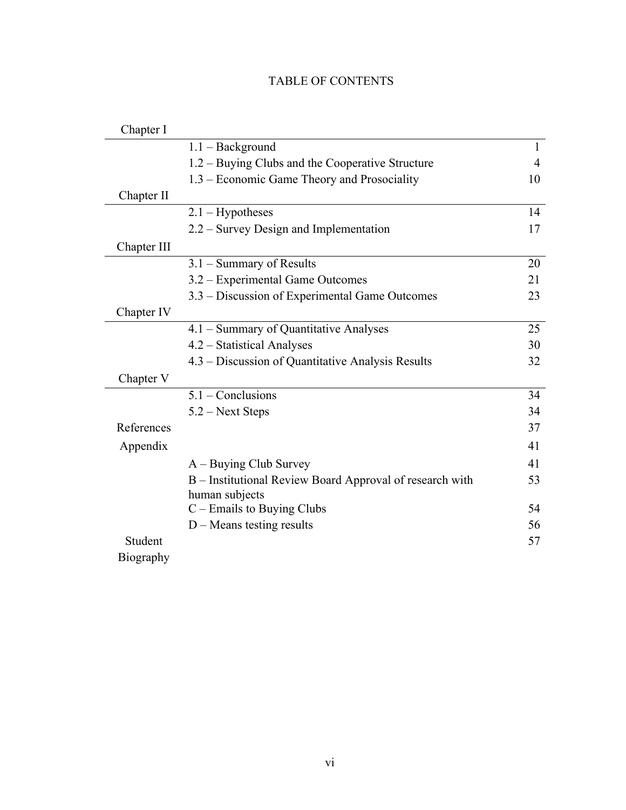## TABLE OF CONTENTS

| Chapter I        |                                                          |                |
|------------------|----------------------------------------------------------|----------------|
|                  | $1.1 - Background$                                       | $\mathbf{1}$   |
|                  | 1.2 – Buying Clubs and the Cooperative Structure         | $\overline{4}$ |
|                  | 1.3 – Economic Game Theory and Prosociality              | 10             |
| Chapter II       |                                                          |                |
|                  | $2.1 - Hypotheses$                                       | 14             |
|                  | 2.2 – Survey Design and Implementation                   | 17             |
| Chapter III      |                                                          |                |
|                  | 3.1 - Summary of Results                                 | 20             |
|                  | 3.2 – Experimental Game Outcomes                         | 21             |
|                  | 3.3 – Discussion of Experimental Game Outcomes           | 23             |
| Chapter IV       |                                                          |                |
|                  | 4.1 – Summary of Quantitative Analyses                   | 25             |
|                  | 4.2 - Statistical Analyses                               | 30             |
|                  | 4.3 – Discussion of Quantitative Analysis Results        | 32             |
| Chapter V        |                                                          |                |
|                  | $5.1 - Conclusions$                                      | 34             |
|                  | 5.2 – Next Steps                                         | 34             |
| References       |                                                          | 37             |
| Appendix         |                                                          | 41             |
|                  | $A - Buying Club Survey$                                 | 41             |
|                  | B - Institutional Review Board Approval of research with | 53             |
|                  | human subjects                                           |                |
|                  | C - Emails to Buying Clubs                               | 54             |
|                  | $D$ – Means testing results                              | 56             |
| Student          |                                                          | 57             |
| <b>Biography</b> |                                                          |                |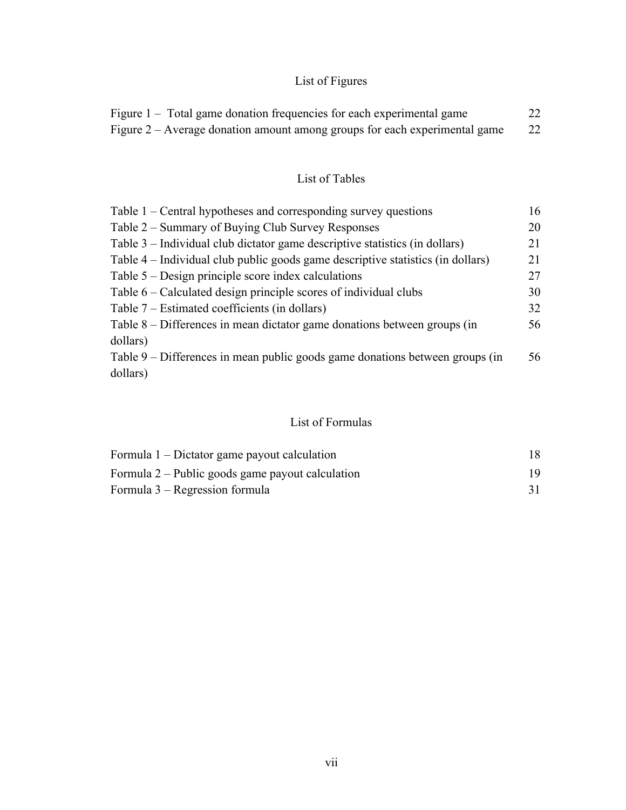## List of Figures

| Figure 1 – Total game donation frequencies for each experimental game      | 22 |
|----------------------------------------------------------------------------|----|
| Figure 2 – Average donation amount among groups for each experimental game | 22 |

## List of Tables

| Table $1$ – Central hypotheses and corresponding survey questions               | 16 |
|---------------------------------------------------------------------------------|----|
| Table 2 – Summary of Buying Club Survey Responses                               | 20 |
| Table 3 – Individual club dictator game descriptive statistics (in dollars)     | 21 |
| Table 4 – Individual club public goods game descriptive statistics (in dollars) | 21 |
| Table $5 -$ Design principle score index calculations                           | 27 |
| Table 6 – Calculated design principle scores of individual clubs                | 30 |
| Table $7$ – Estimated coefficients (in dollars)                                 | 32 |
| Table 8 – Differences in mean dictator game donations between groups (in        | 56 |
| dollars)                                                                        |    |
| Table 9 – Differences in mean public goods game donations between groups (in    | 56 |
| dollars)                                                                        |    |

## List of Formulas

| Formula 1 – Dictator game payout calculation       | 18 |
|----------------------------------------------------|----|
| Formula $2$ – Public goods game payout calculation | 19 |
| Formula 3 – Regression formula                     |    |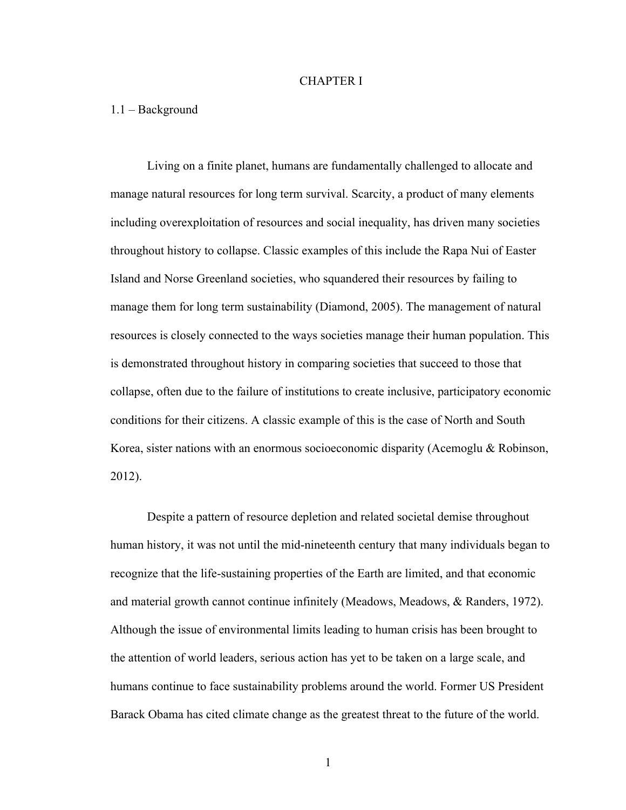#### CHAPTER I

#### 1.1 – Background

Living on a finite planet, humans are fundamentally challenged to allocate and manage natural resources for long term survival. Scarcity, a product of many elements including overexploitation of resources and social inequality, has driven many societies throughout history to collapse. Classic examples of this include the Rapa Nui of Easter Island and Norse Greenland societies, who squandered their resources by failing to manage them for long term sustainability (Diamond, 2005). The management of natural resources is closely connected to the ways societies manage their human population. This is demonstrated throughout history in comparing societies that succeed to those that collapse, often due to the failure of institutions to create inclusive, participatory economic conditions for their citizens. A classic example of this is the case of North and South Korea, sister nations with an enormous socioeconomic disparity (Acemoglu & Robinson, 2012).

Despite a pattern of resource depletion and related societal demise throughout human history, it was not until the mid-nineteenth century that many individuals began to recognize that the life-sustaining properties of the Earth are limited, and that economic and material growth cannot continue infinitely (Meadows, Meadows, & Randers, 1972). Although the issue of environmental limits leading to human crisis has been brought to the attention of world leaders, serious action has yet to be taken on a large scale, and humans continue to face sustainability problems around the world. Former US President Barack Obama has cited climate change as the greatest threat to the future of the world.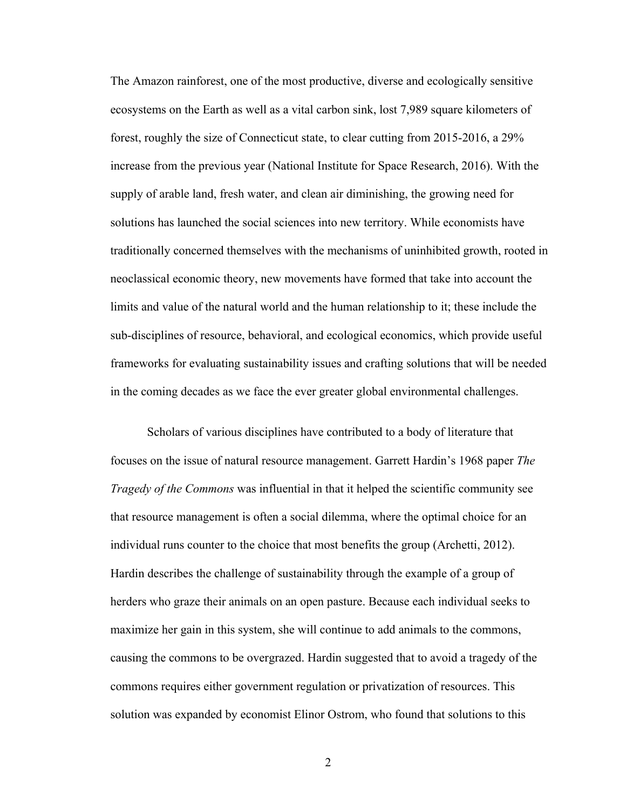The Amazon rainforest, one of the most productive, diverse and ecologically sensitive ecosystems on the Earth as well as a vital carbon sink, lost 7,989 square kilometers of forest, roughly the size of Connecticut state, to clear cutting from 2015-2016, a 29% increase from the previous year (National Institute for Space Research, 2016). With the supply of arable land, fresh water, and clean air diminishing, the growing need for solutions has launched the social sciences into new territory. While economists have traditionally concerned themselves with the mechanisms of uninhibited growth, rooted in neoclassical economic theory, new movements have formed that take into account the limits and value of the natural world and the human relationship to it; these include the sub-disciplines of resource, behavioral, and ecological economics, which provide useful frameworks for evaluating sustainability issues and crafting solutions that will be needed in the coming decades as we face the ever greater global environmental challenges.

Scholars of various disciplines have contributed to a body of literature that focuses on the issue of natural resource management. Garrett Hardin's 1968 paper *The Tragedy of the Commons* was influential in that it helped the scientific community see that resource management is often a social dilemma, where the optimal choice for an individual runs counter to the choice that most benefits the group (Archetti, 2012). Hardin describes the challenge of sustainability through the example of a group of herders who graze their animals on an open pasture. Because each individual seeks to maximize her gain in this system, she will continue to add animals to the commons, causing the commons to be overgrazed. Hardin suggested that to avoid a tragedy of the commons requires either government regulation or privatization of resources. This solution was expanded by economist Elinor Ostrom, who found that solutions to this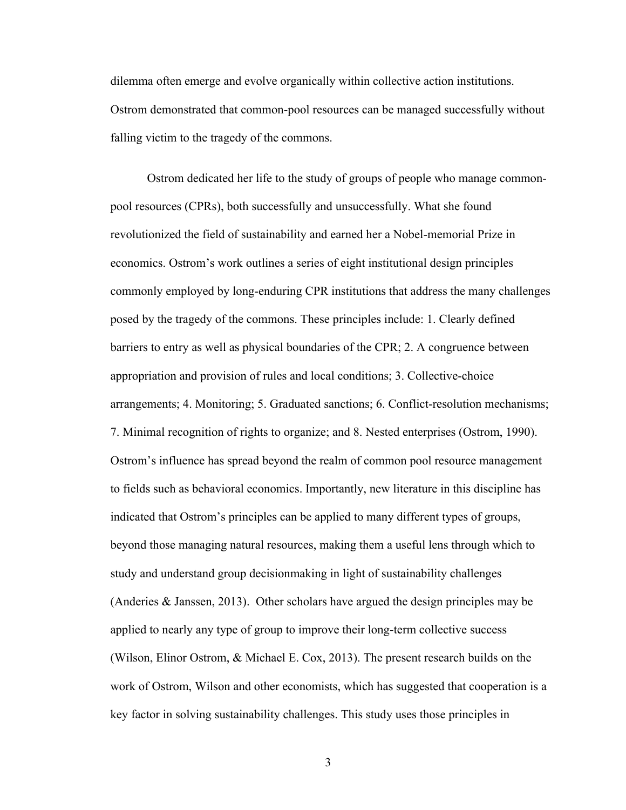dilemma often emerge and evolve organically within collective action institutions. Ostrom demonstrated that common-pool resources can be managed successfully without falling victim to the tragedy of the commons.

Ostrom dedicated her life to the study of groups of people who manage commonpool resources (CPRs), both successfully and unsuccessfully. What she found revolutionized the field of sustainability and earned her a Nobel-memorial Prize in economics. Ostrom's work outlines a series of eight institutional design principles commonly employed by long-enduring CPR institutions that address the many challenges posed by the tragedy of the commons. These principles include: 1. Clearly defined barriers to entry as well as physical boundaries of the CPR; 2. A congruence between appropriation and provision of rules and local conditions; 3. Collective-choice arrangements; 4. Monitoring; 5. Graduated sanctions; 6. Conflict-resolution mechanisms; 7. Minimal recognition of rights to organize; and 8. Nested enterprises (Ostrom, 1990). Ostrom's influence has spread beyond the realm of common pool resource management to fields such as behavioral economics. Importantly, new literature in this discipline has indicated that Ostrom's principles can be applied to many different types of groups, beyond those managing natural resources, making them a useful lens through which to study and understand group decisionmaking in light of sustainability challenges (Anderies & Janssen, 2013). Other scholars have argued the design principles may be applied to nearly any type of group to improve their long-term collective success (Wilson, Elinor Ostrom, & Michael E. Cox, 2013). The present research builds on the work of Ostrom, Wilson and other economists, which has suggested that cooperation is a key factor in solving sustainability challenges. This study uses those principles in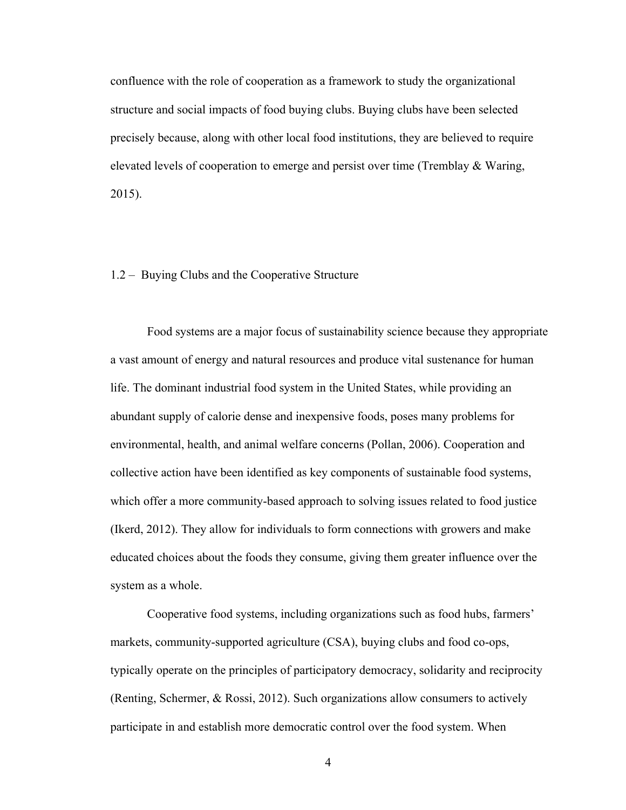confluence with the role of cooperation as a framework to study the organizational structure and social impacts of food buying clubs. Buying clubs have been selected precisely because, along with other local food institutions, they are believed to require elevated levels of cooperation to emerge and persist over time (Tremblay & Waring, 2015).

#### 1.2 – Buying Clubs and the Cooperative Structure

Food systems are a major focus of sustainability science because they appropriate a vast amount of energy and natural resources and produce vital sustenance for human life. The dominant industrial food system in the United States, while providing an abundant supply of calorie dense and inexpensive foods, poses many problems for environmental, health, and animal welfare concerns (Pollan, 2006). Cooperation and collective action have been identified as key components of sustainable food systems, which offer a more community-based approach to solving issues related to food justice (Ikerd, 2012). They allow for individuals to form connections with growers and make educated choices about the foods they consume, giving them greater influence over the system as a whole.

Cooperative food systems, including organizations such as food hubs, farmers' markets, community-supported agriculture (CSA), buying clubs and food co-ops, typically operate on the principles of participatory democracy, solidarity and reciprocity (Renting, Schermer, & Rossi, 2012). Such organizations allow consumers to actively participate in and establish more democratic control over the food system. When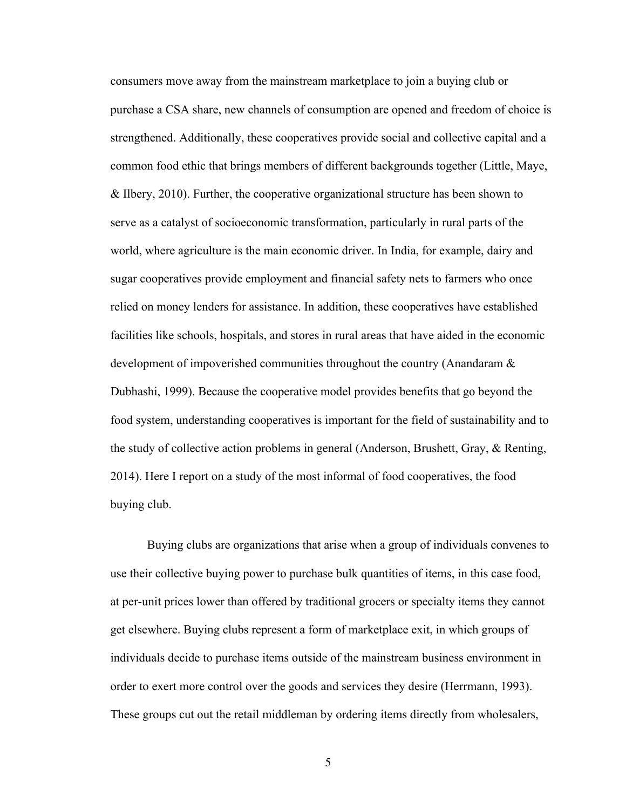consumers move away from the mainstream marketplace to join a buying club or purchase a CSA share, new channels of consumption are opened and freedom of choice is strengthened. Additionally, these cooperatives provide social and collective capital and a common food ethic that brings members of different backgrounds together (Little, Maye, & Ilbery, 2010). Further, the cooperative organizational structure has been shown to serve as a catalyst of socioeconomic transformation, particularly in rural parts of the world, where agriculture is the main economic driver. In India, for example, dairy and sugar cooperatives provide employment and financial safety nets to farmers who once relied on money lenders for assistance. In addition, these cooperatives have established facilities like schools, hospitals, and stores in rural areas that have aided in the economic development of impoverished communities throughout the country (Anandaram & Dubhashi, 1999). Because the cooperative model provides benefits that go beyond the food system, understanding cooperatives is important for the field of sustainability and to the study of collective action problems in general (Anderson, Brushett, Gray, & Renting, 2014). Here I report on a study of the most informal of food cooperatives, the food buying club.

Buying clubs are organizations that arise when a group of individuals convenes to use their collective buying power to purchase bulk quantities of items, in this case food, at per-unit prices lower than offered by traditional grocers or specialty items they cannot get elsewhere. Buying clubs represent a form of marketplace exit, in which groups of individuals decide to purchase items outside of the mainstream business environment in order to exert more control over the goods and services they desire (Herrmann, 1993). These groups cut out the retail middleman by ordering items directly from wholesalers,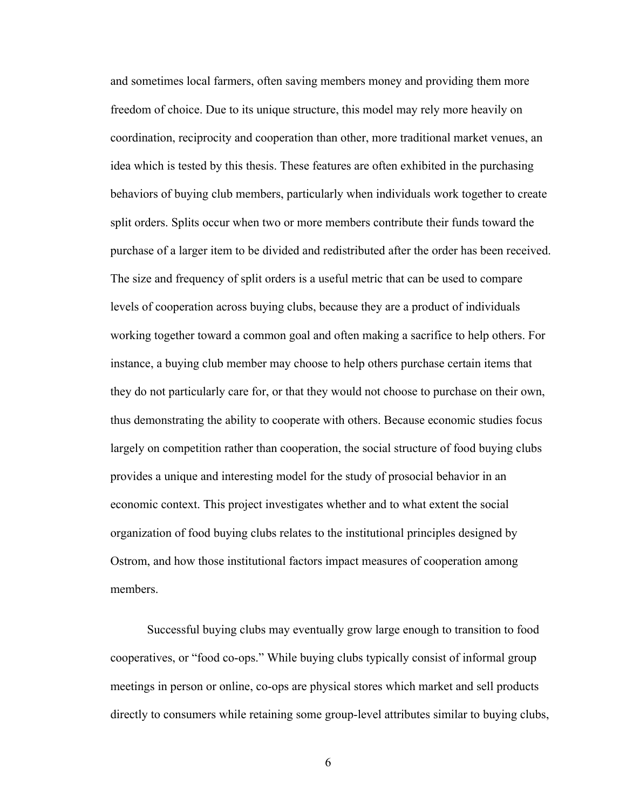and sometimes local farmers, often saving members money and providing them more freedom of choice. Due to its unique structure, this model may rely more heavily on coordination, reciprocity and cooperation than other, more traditional market venues, an idea which is tested by this thesis. These features are often exhibited in the purchasing behaviors of buying club members, particularly when individuals work together to create split orders. Splits occur when two or more members contribute their funds toward the purchase of a larger item to be divided and redistributed after the order has been received. The size and frequency of split orders is a useful metric that can be used to compare levels of cooperation across buying clubs, because they are a product of individuals working together toward a common goal and often making a sacrifice to help others. For instance, a buying club member may choose to help others purchase certain items that they do not particularly care for, or that they would not choose to purchase on their own, thus demonstrating the ability to cooperate with others. Because economic studies focus largely on competition rather than cooperation, the social structure of food buying clubs provides a unique and interesting model for the study of prosocial behavior in an economic context. This project investigates whether and to what extent the social organization of food buying clubs relates to the institutional principles designed by Ostrom, and how those institutional factors impact measures of cooperation among members.

Successful buying clubs may eventually grow large enough to transition to food cooperatives, or "food co-ops." While buying clubs typically consist of informal group meetings in person or online, co-ops are physical stores which market and sell products directly to consumers while retaining some group-level attributes similar to buying clubs,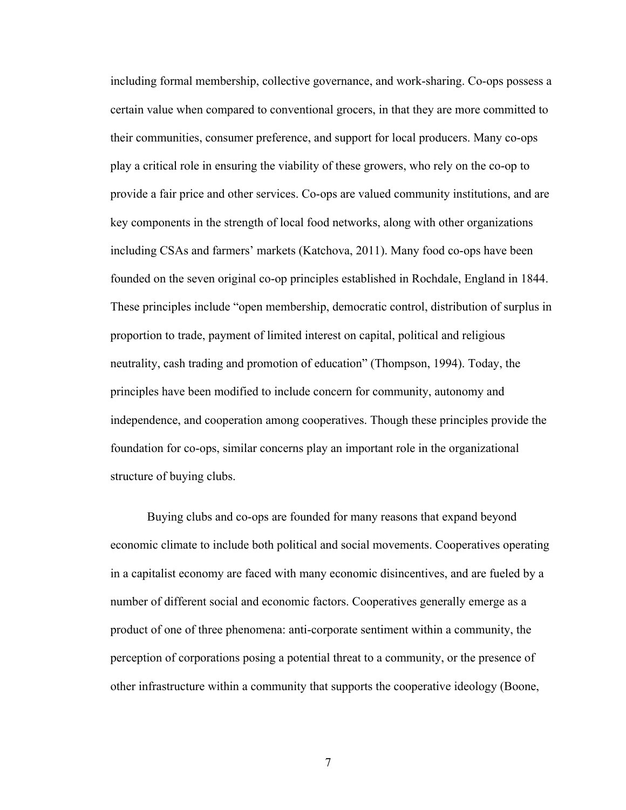including formal membership, collective governance, and work-sharing. Co-ops possess a certain value when compared to conventional grocers, in that they are more committed to their communities, consumer preference, and support for local producers. Many co-ops play a critical role in ensuring the viability of these growers, who rely on the co-op to provide a fair price and other services. Co-ops are valued community institutions, and are key components in the strength of local food networks, along with other organizations including CSAs and farmers' markets (Katchova, 2011). Many food co-ops have been founded on the seven original co-op principles established in Rochdale, England in 1844. These principles include "open membership, democratic control, distribution of surplus in proportion to trade, payment of limited interest on capital, political and religious neutrality, cash trading and promotion of education" (Thompson, 1994). Today, the principles have been modified to include concern for community, autonomy and independence, and cooperation among cooperatives. Though these principles provide the foundation for co-ops, similar concerns play an important role in the organizational structure of buying clubs.

Buying clubs and co-ops are founded for many reasons that expand beyond economic climate to include both political and social movements. Cooperatives operating in a capitalist economy are faced with many economic disincentives, and are fueled by a number of different social and economic factors. Cooperatives generally emerge as a product of one of three phenomena: anti-corporate sentiment within a community, the perception of corporations posing a potential threat to a community, or the presence of other infrastructure within a community that supports the cooperative ideology (Boone,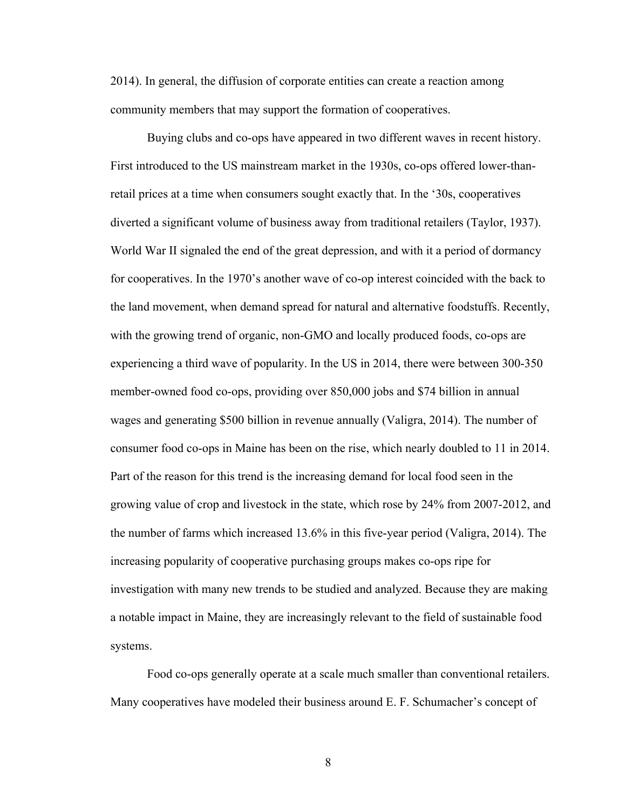2014). In general, the diffusion of corporate entities can create a reaction among community members that may support the formation of cooperatives.

Buying clubs and co-ops have appeared in two different waves in recent history. First introduced to the US mainstream market in the 1930s, co-ops offered lower-thanretail prices at a time when consumers sought exactly that. In the '30s, cooperatives diverted a significant volume of business away from traditional retailers (Taylor, 1937). World War II signaled the end of the great depression, and with it a period of dormancy for cooperatives. In the 1970's another wave of co-op interest coincided with the back to the land movement, when demand spread for natural and alternative foodstuffs. Recently, with the growing trend of organic, non-GMO and locally produced foods, co-ops are experiencing a third wave of popularity. In the US in 2014, there were between 300-350 member-owned food co-ops, providing over 850,000 jobs and \$74 billion in annual wages and generating \$500 billion in revenue annually (Valigra, 2014). The number of consumer food co-ops in Maine has been on the rise, which nearly doubled to 11 in 2014. Part of the reason for this trend is the increasing demand for local food seen in the growing value of crop and livestock in the state, which rose by 24% from 2007-2012, and the number of farms which increased 13.6% in this five-year period (Valigra, 2014). The increasing popularity of cooperative purchasing groups makes co-ops ripe for investigation with many new trends to be studied and analyzed. Because they are making a notable impact in Maine, they are increasingly relevant to the field of sustainable food systems.

Food co-ops generally operate at a scale much smaller than conventional retailers. Many cooperatives have modeled their business around E. F. Schumacher's concept of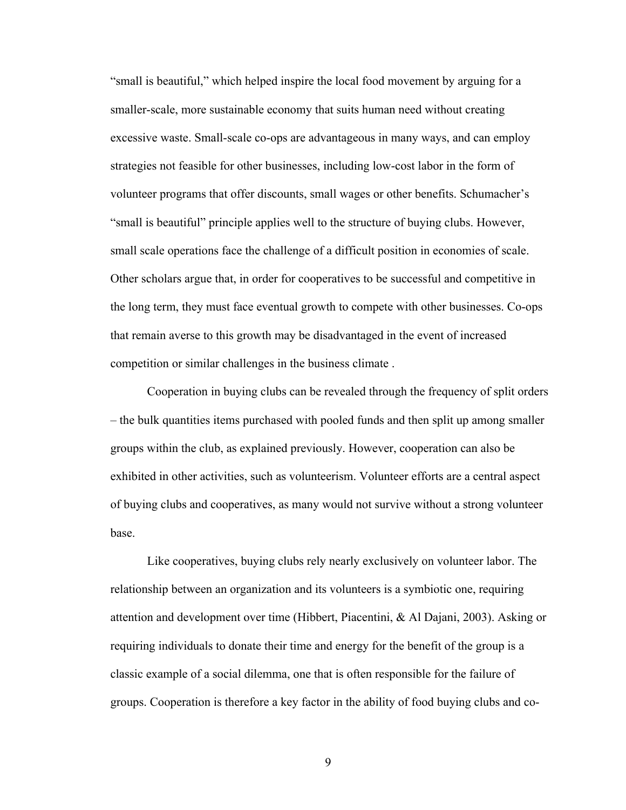"small is beautiful," which helped inspire the local food movement by arguing for a smaller-scale, more sustainable economy that suits human need without creating excessive waste. Small-scale co-ops are advantageous in many ways, and can employ strategies not feasible for other businesses, including low-cost labor in the form of volunteer programs that offer discounts, small wages or other benefits. Schumacher's "small is beautiful" principle applies well to the structure of buying clubs. However, small scale operations face the challenge of a difficult position in economies of scale. Other scholars argue that, in order for cooperatives to be successful and competitive in the long term, they must face eventual growth to compete with other businesses. Co-ops that remain averse to this growth may be disadvantaged in the event of increased competition or similar challenges in the business climate .

Cooperation in buying clubs can be revealed through the frequency of split orders – the bulk quantities items purchased with pooled funds and then split up among smaller groups within the club, as explained previously. However, cooperation can also be exhibited in other activities, such as volunteerism. Volunteer efforts are a central aspect of buying clubs and cooperatives, as many would not survive without a strong volunteer base.

Like cooperatives, buying clubs rely nearly exclusively on volunteer labor. The relationship between an organization and its volunteers is a symbiotic one, requiring attention and development over time (Hibbert, Piacentini, & Al Dajani, 2003). Asking or requiring individuals to donate their time and energy for the benefit of the group is a classic example of a social dilemma, one that is often responsible for the failure of groups. Cooperation is therefore a key factor in the ability of food buying clubs and co-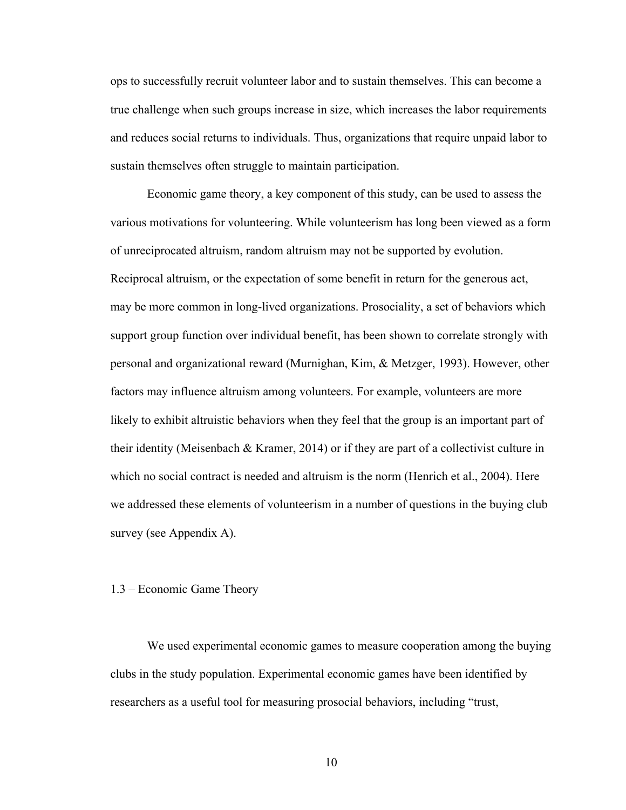ops to successfully recruit volunteer labor and to sustain themselves. This can become a true challenge when such groups increase in size, which increases the labor requirements and reduces social returns to individuals. Thus, organizations that require unpaid labor to sustain themselves often struggle to maintain participation.

Economic game theory, a key component of this study, can be used to assess the various motivations for volunteering. While volunteerism has long been viewed as a form of unreciprocated altruism, random altruism may not be supported by evolution. Reciprocal altruism, or the expectation of some benefit in return for the generous act, may be more common in long-lived organizations. Prosociality, a set of behaviors which support group function over individual benefit, has been shown to correlate strongly with personal and organizational reward (Murnighan, Kim, & Metzger, 1993). However, other factors may influence altruism among volunteers. For example, volunteers are more likely to exhibit altruistic behaviors when they feel that the group is an important part of their identity (Meisenbach & Kramer, 2014) or if they are part of a collectivist culture in which no social contract is needed and altruism is the norm (Henrich et al., 2004). Here we addressed these elements of volunteerism in a number of questions in the buying club survey (see Appendix A).

#### 1.3 – Economic Game Theory

We used experimental economic games to measure cooperation among the buying clubs in the study population. Experimental economic games have been identified by researchers as a useful tool for measuring prosocial behaviors, including "trust,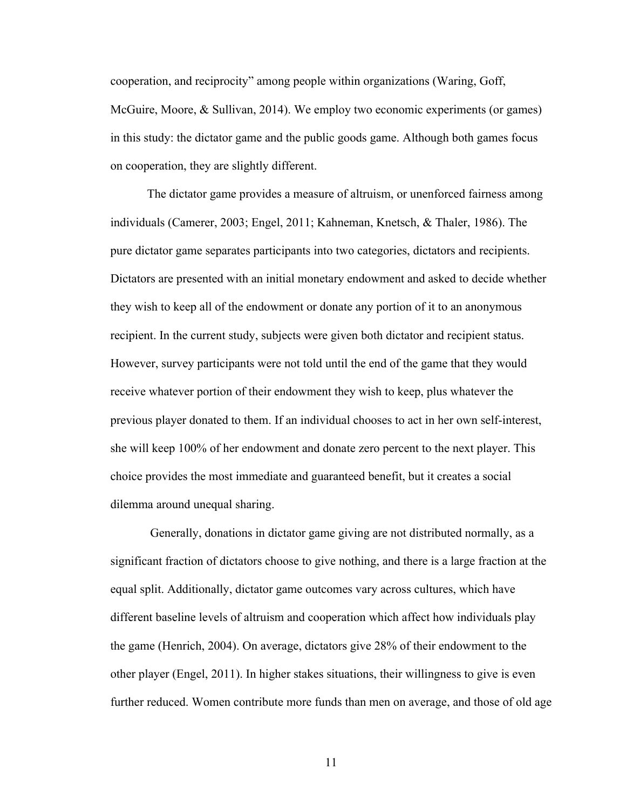cooperation, and reciprocity" among people within organizations (Waring, Goff, McGuire, Moore, & Sullivan, 2014). We employ two economic experiments (or games) in this study: the dictator game and the public goods game. Although both games focus on cooperation, they are slightly different.

The dictator game provides a measure of altruism, or unenforced fairness among individuals (Camerer, 2003; Engel, 2011; Kahneman, Knetsch, & Thaler, 1986). The pure dictator game separates participants into two categories, dictators and recipients. Dictators are presented with an initial monetary endowment and asked to decide whether they wish to keep all of the endowment or donate any portion of it to an anonymous recipient. In the current study, subjects were given both dictator and recipient status. However, survey participants were not told until the end of the game that they would receive whatever portion of their endowment they wish to keep, plus whatever the previous player donated to them. If an individual chooses to act in her own self-interest, she will keep 100% of her endowment and donate zero percent to the next player. This choice provides the most immediate and guaranteed benefit, but it creates a social dilemma around unequal sharing.

Generally, donations in dictator game giving are not distributed normally, as a significant fraction of dictators choose to give nothing, and there is a large fraction at the equal split. Additionally, dictator game outcomes vary across cultures, which have different baseline levels of altruism and cooperation which affect how individuals play the game (Henrich, 2004). On average, dictators give 28% of their endowment to the other player (Engel, 2011). In higher stakes situations, their willingness to give is even further reduced. Women contribute more funds than men on average, and those of old age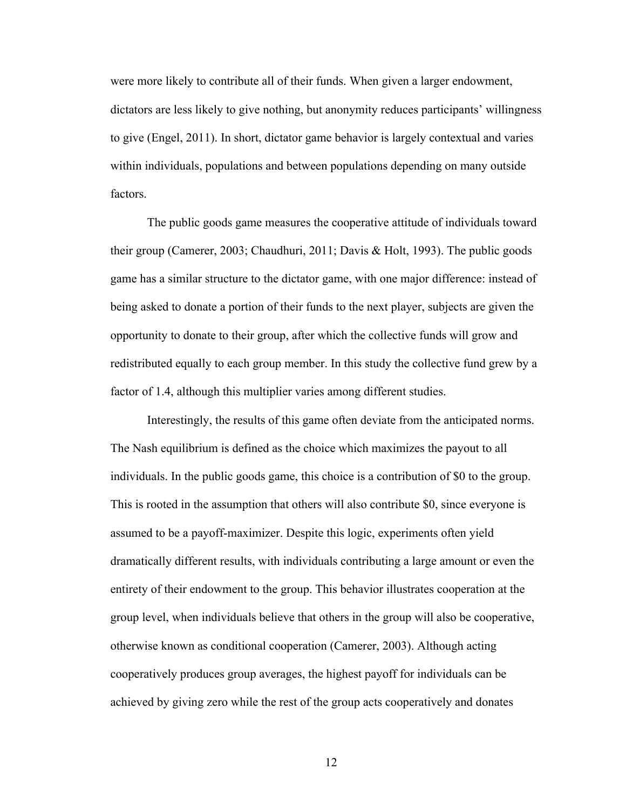were more likely to contribute all of their funds. When given a larger endowment, dictators are less likely to give nothing, but anonymity reduces participants' willingness to give (Engel, 2011). In short, dictator game behavior is largely contextual and varies within individuals, populations and between populations depending on many outside factors.

The public goods game measures the cooperative attitude of individuals toward their group (Camerer, 2003; Chaudhuri, 2011; Davis & Holt, 1993). The public goods game has a similar structure to the dictator game, with one major difference: instead of being asked to donate a portion of their funds to the next player, subjects are given the opportunity to donate to their group, after which the collective funds will grow and redistributed equally to each group member. In this study the collective fund grew by a factor of 1.4, although this multiplier varies among different studies.

Interestingly, the results of this game often deviate from the anticipated norms. The Nash equilibrium is defined as the choice which maximizes the payout to all individuals. In the public goods game, this choice is a contribution of \$0 to the group. This is rooted in the assumption that others will also contribute \$0, since everyone is assumed to be a payoff-maximizer. Despite this logic, experiments often yield dramatically different results, with individuals contributing a large amount or even the entirety of their endowment to the group. This behavior illustrates cooperation at the group level, when individuals believe that others in the group will also be cooperative, otherwise known as conditional cooperation (Camerer, 2003). Although acting cooperatively produces group averages, the highest payoff for individuals can be achieved by giving zero while the rest of the group acts cooperatively and donates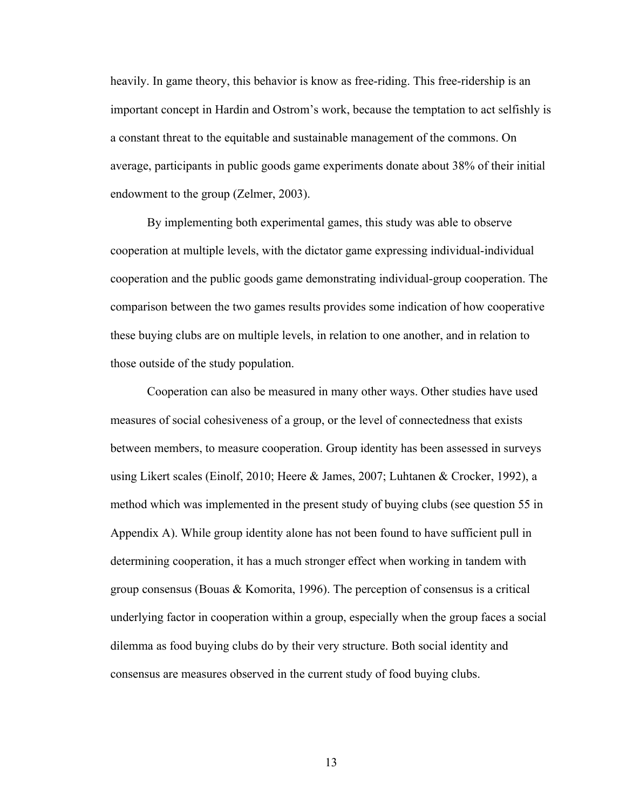heavily. In game theory, this behavior is know as free-riding. This free-ridership is an important concept in Hardin and Ostrom's work, because the temptation to act selfishly is a constant threat to the equitable and sustainable management of the commons. On average, participants in public goods game experiments donate about 38% of their initial endowment to the group (Zelmer, 2003).

By implementing both experimental games, this study was able to observe cooperation at multiple levels, with the dictator game expressing individual-individual cooperation and the public goods game demonstrating individual-group cooperation. The comparison between the two games results provides some indication of how cooperative these buying clubs are on multiple levels, in relation to one another, and in relation to those outside of the study population.

Cooperation can also be measured in many other ways. Other studies have used measures of social cohesiveness of a group, or the level of connectedness that exists between members, to measure cooperation. Group identity has been assessed in surveys using Likert scales (Einolf, 2010; Heere & James, 2007; Luhtanen & Crocker, 1992), a method which was implemented in the present study of buying clubs (see question 55 in Appendix A). While group identity alone has not been found to have sufficient pull in determining cooperation, it has a much stronger effect when working in tandem with group consensus (Bouas & Komorita, 1996). The perception of consensus is a critical underlying factor in cooperation within a group, especially when the group faces a social dilemma as food buying clubs do by their very structure. Both social identity and consensus are measures observed in the current study of food buying clubs.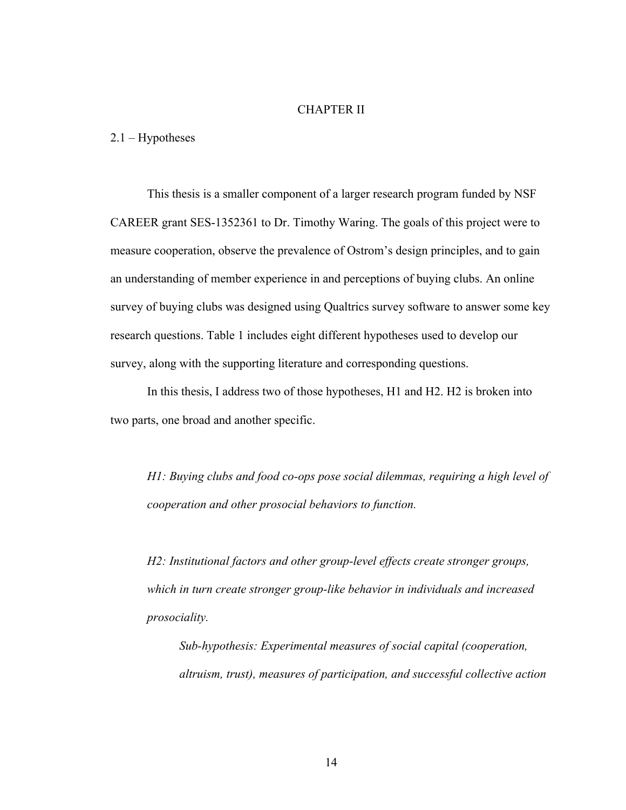#### CHAPTER II

2.1 – Hypotheses

This thesis is a smaller component of a larger research program funded by NSF CAREER grant SES-1352361 to Dr. Timothy Waring. The goals of this project were to measure cooperation, observe the prevalence of Ostrom's design principles, and to gain an understanding of member experience in and perceptions of buying clubs. An online survey of buying clubs was designed using Qualtrics survey software to answer some key research questions. Table 1 includes eight different hypotheses used to develop our survey, along with the supporting literature and corresponding questions.

In this thesis, I address two of those hypotheses, H1 and H2. H2 is broken into two parts, one broad and another specific.

*H1: Buying clubs and food co-ops pose social dilemmas, requiring a high level of cooperation and other prosocial behaviors to function.*

*H2: Institutional factors and other group-level effects create stronger groups, which in turn create stronger group-like behavior in individuals and increased prosociality.* 

*Sub-hypothesis: Experimental measures of social capital (cooperation, altruism, trust), measures of participation, and successful collective action*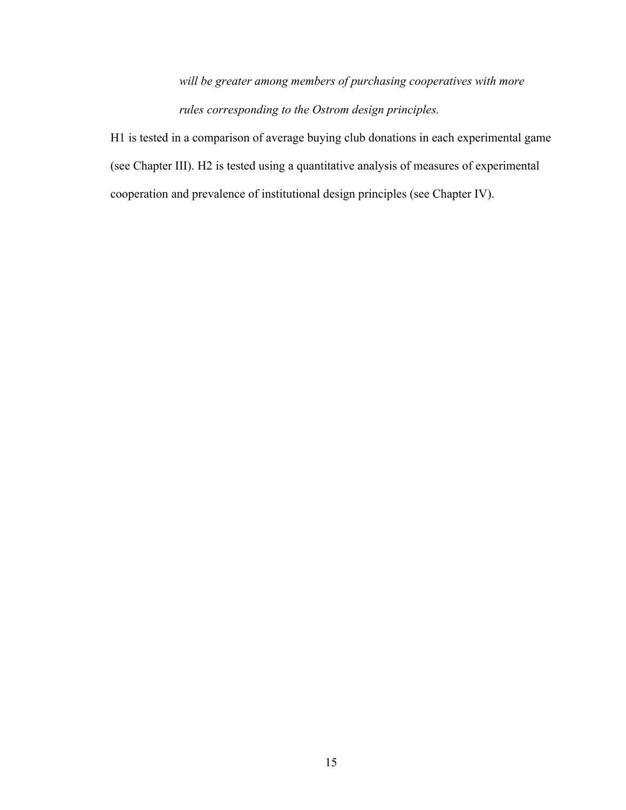*will be greater among members of purchasing cooperatives with more rules corresponding to the Ostrom design principles.* 

H1 is tested in a comparison of average buying club donations in each experimental game (see Chapter III). H2 is tested using a quantitative analysis of measures of experimental cooperation and prevalence of institutional design principles (see Chapter IV).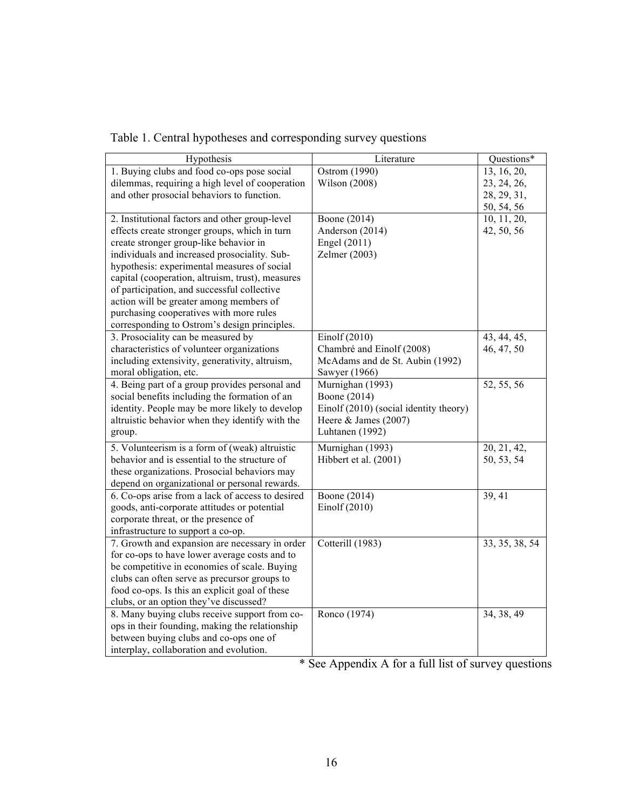| Hypothesis                                       | Literature                             | Questions*     |
|--------------------------------------------------|----------------------------------------|----------------|
| 1. Buying clubs and food co-ops pose social      | Ostrom (1990)                          | 13, 16, 20,    |
| dilemmas, requiring a high level of cooperation  | Wilson (2008)                          | 23, 24, 26,    |
| and other prosocial behaviors to function.       |                                        | 28, 29, 31,    |
|                                                  |                                        | 50, 54, 56     |
| 2. Institutional factors and other group-level   | Boone (2014)                           | 10, 11, 20,    |
| effects create stronger groups, which in turn    | Anderson (2014)                        | 42, 50, 56     |
| create stronger group-like behavior in           | Engel (2011)                           |                |
| individuals and increased prosociality. Sub-     | Zelmer (2003)                          |                |
| hypothesis: experimental measures of social      |                                        |                |
| capital (cooperation, altruism, trust), measures |                                        |                |
| of participation, and successful collective      |                                        |                |
| action will be greater among members of          |                                        |                |
| purchasing cooperatives with more rules          |                                        |                |
| corresponding to Ostrom's design principles.     |                                        |                |
| 3. Prosociality can be measured by               | Einolf $(2010)$                        | 43, 44, 45,    |
| characteristics of volunteer organizations       | Chambré and Einolf (2008)              | 46, 47, 50     |
| including extensivity, generativity, altruism,   | McAdams and de St. Aubin (1992)        |                |
| moral obligation, etc.                           | Sawyer (1966)                          |                |
| 4. Being part of a group provides personal and   | Murnighan (1993)                       | 52, 55, 56     |
| social benefits including the formation of an    | Boone (2014)                           |                |
| identity. People may be more likely to develop   | Einolf (2010) (social identity theory) |                |
| altruistic behavior when they identify with the  | Heere & James (2007)                   |                |
| group.                                           | Luhtanen (1992)                        |                |
| 5. Volunteerism is a form of (weak) altruistic   | Murnighan (1993)                       | 20, 21, 42,    |
| behavior and is essential to the structure of    | Hibbert et al. (2001)                  | 50, 53, 54     |
| these organizations. Prosocial behaviors may     |                                        |                |
| depend on organizational or personal rewards.    |                                        |                |
| 6. Co-ops arise from a lack of access to desired | Boone (2014)                           | 39, 41         |
| goods, anti-corporate attitudes or potential     | Einolf $(2010)$                        |                |
| corporate threat, or the presence of             |                                        |                |
| infrastructure to support a co-op.               |                                        |                |
| 7. Growth and expansion are necessary in order   | Cotterill (1983)                       | 33, 35, 38, 54 |
| for co-ops to have lower average costs and to    |                                        |                |
| be competitive in economies of scale. Buying     |                                        |                |
| clubs can often serve as precursor groups to     |                                        |                |
| food co-ops. Is this an explicit goal of these   |                                        |                |
| clubs, or an option they've discussed?           |                                        |                |
| 8. Many buying clubs receive support from co-    | Ronco (1974)                           | 34, 38, 49     |
| ops in their founding, making the relationship   |                                        |                |
| between buying clubs and co-ops one of           |                                        |                |
| interplay, collaboration and evolution.          |                                        |                |

|  |  | Table 1. Central hypotheses and corresponding survey questions |
|--|--|----------------------------------------------------------------|
|  |  |                                                                |
|  |  |                                                                |
|  |  |                                                                |

\* See Appendix A for a full list of survey questions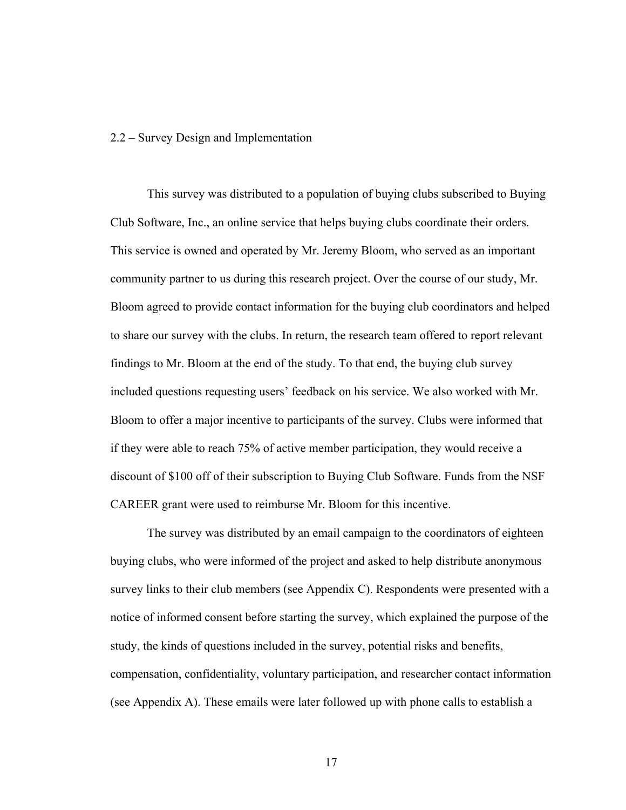#### 2.2 – Survey Design and Implementation

This survey was distributed to a population of buying clubs subscribed to Buying Club Software, Inc., an online service that helps buying clubs coordinate their orders. This service is owned and operated by Mr. Jeremy Bloom, who served as an important community partner to us during this research project. Over the course of our study, Mr. Bloom agreed to provide contact information for the buying club coordinators and helped to share our survey with the clubs. In return, the research team offered to report relevant findings to Mr. Bloom at the end of the study. To that end, the buying club survey included questions requesting users' feedback on his service. We also worked with Mr. Bloom to offer a major incentive to participants of the survey. Clubs were informed that if they were able to reach 75% of active member participation, they would receive a discount of \$100 off of their subscription to Buying Club Software. Funds from the NSF CAREER grant were used to reimburse Mr. Bloom for this incentive.

The survey was distributed by an email campaign to the coordinators of eighteen buying clubs, who were informed of the project and asked to help distribute anonymous survey links to their club members (see Appendix C). Respondents were presented with a notice of informed consent before starting the survey, which explained the purpose of the study, the kinds of questions included in the survey, potential risks and benefits, compensation, confidentiality, voluntary participation, and researcher contact information (see Appendix A). These emails were later followed up with phone calls to establish a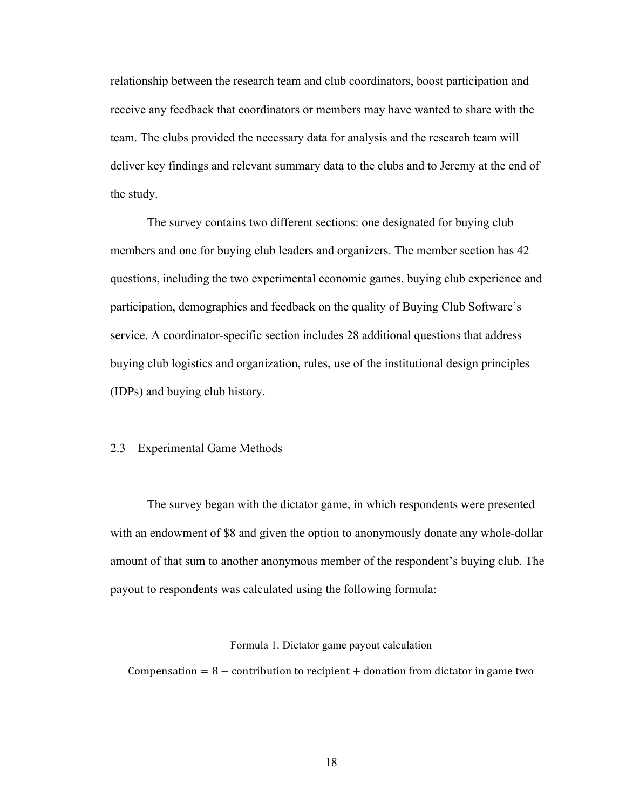relationship between the research team and club coordinators, boost participation and receive any feedback that coordinators or members may have wanted to share with the team. The clubs provided the necessary data for analysis and the research team will deliver key findings and relevant summary data to the clubs and to Jeremy at the end of the study.

The survey contains two different sections: one designated for buying club members and one for buying club leaders and organizers. The member section has 42 questions, including the two experimental economic games, buying club experience and participation, demographics and feedback on the quality of Buying Club Software's service. A coordinator-specific section includes 28 additional questions that address buying club logistics and organization, rules, use of the institutional design principles (IDPs) and buying club history.

#### 2.3 – Experimental Game Methods

The survey began with the dictator game, in which respondents were presented with an endowment of \$8 and given the option to anonymously donate any whole-dollar amount of that sum to another anonymous member of the respondent's buying club. The payout to respondents was calculated using the following formula:

#### Formula 1. Dictator game payout calculation

Compensation =  $8$  – contribution to recipient + donation from dictator in game two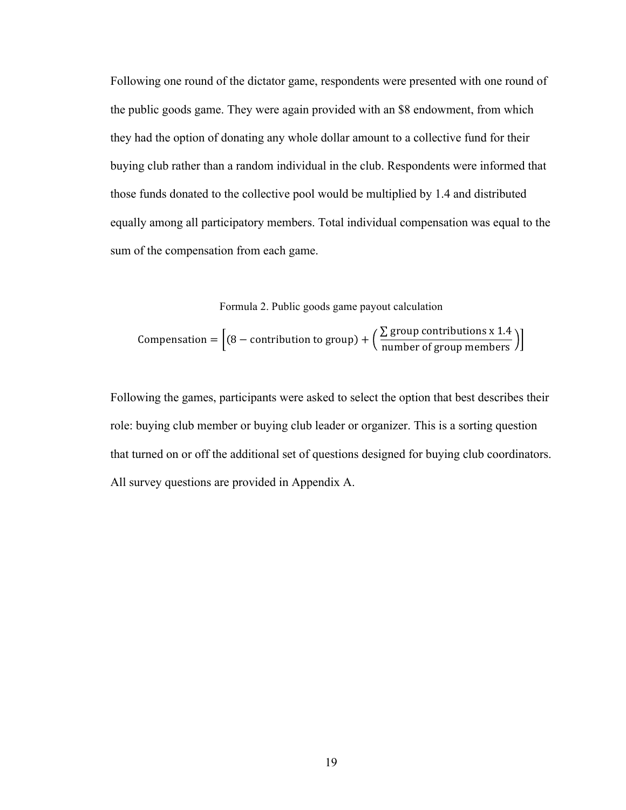Following one round of the dictator game, respondents were presented with one round of the public goods game. They were again provided with an \$8 endowment, from which they had the option of donating any whole dollar amount to a collective fund for their buying club rather than a random individual in the club. Respondents were informed that those funds donated to the collective pool would be multiplied by 1.4 and distributed equally among all participatory members. Total individual compensation was equal to the sum of the compensation from each game.

Formula 2. Public goods game payout calculation

**Comparison** = 
$$
\left[ (8 - \text{contribution to group}) + \left( \frac{\sum \text{ group contributions x 1.4}}{\text{number of group members}} \right) \right]
$$

Following the games, participants were asked to select the option that best describes their role: buying club member or buying club leader or organizer. This is a sorting question that turned on or off the additional set of questions designed for buying club coordinators. All survey questions are provided in Appendix A.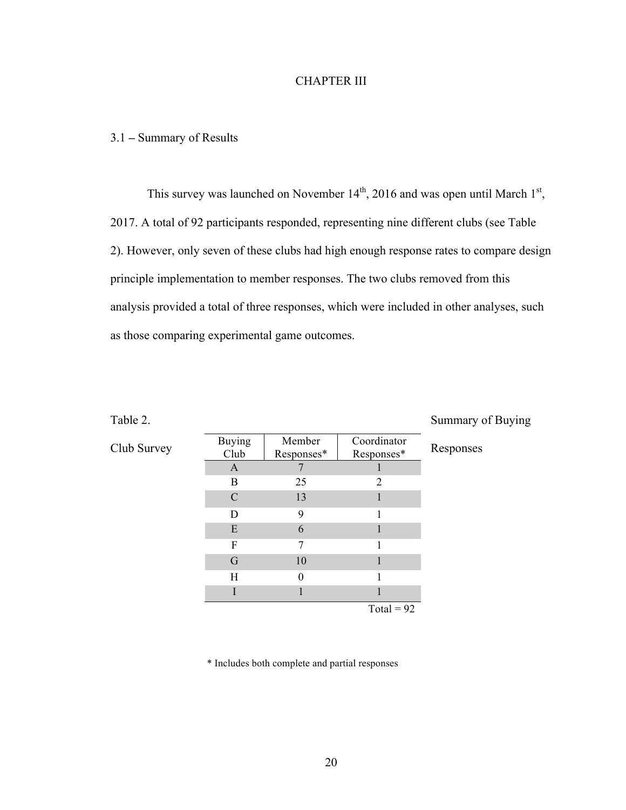#### CHAPTER III

#### 3.1 **–** Summary of Results

This survey was launched on November  $14<sup>th</sup>$ , 2016 and was open until March  $1<sup>st</sup>$ , 2017. A total of 92 participants responded, representing nine different clubs (see Table 2). However, only seven of these clubs had high enough response rates to compare design principle implementation to member responses. The two clubs removed from this analysis provided a total of three responses, which were included in other analyses, such as those comparing experimental game outcomes.

| Table 2.    |                       |                      |                           | Summary of Buying |
|-------------|-----------------------|----------------------|---------------------------|-------------------|
| Club Survey | <b>Buying</b><br>Club | Member<br>Responses* | Coordinator<br>Responses* | Responses         |
|             | A                     |                      |                           |                   |
|             | B                     | 25                   | $\overline{2}$            |                   |
|             | C                     | 13                   |                           |                   |
|             | D                     | 9                    |                           |                   |
|             | E                     | 6                    |                           |                   |
|             | F                     | 7                    |                           |                   |
|             | G                     | 10                   |                           |                   |
|             | Η                     | $\theta$             |                           |                   |
|             |                       |                      |                           |                   |

Total =  $92$ 

\* Includes both complete and partial responses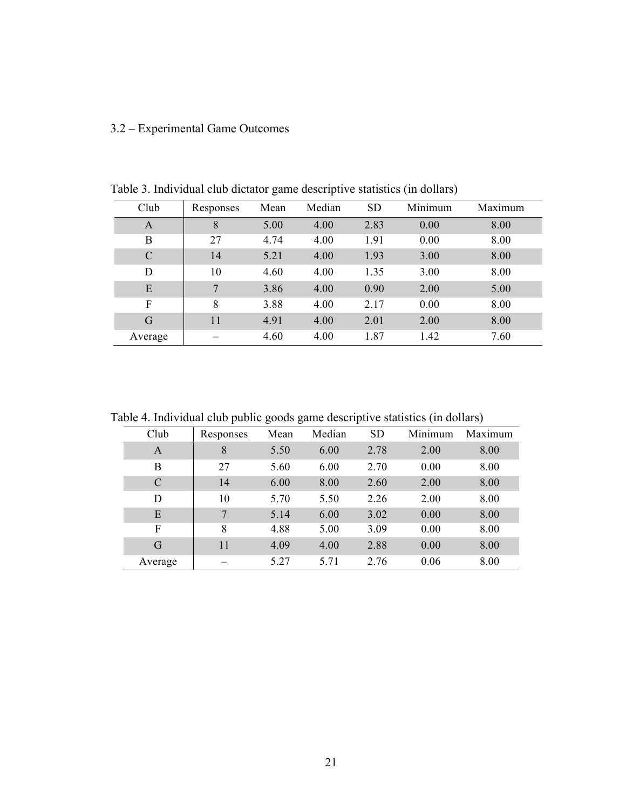## 3.2 – Experimental Game Outcomes

| Club          | Responses | Mean | Median | <b>SD</b> | Minimum | Maximum |
|---------------|-----------|------|--------|-----------|---------|---------|
| A             | 8         | 5.00 | 4.00   | 2.83      | 0.00    | 8.00    |
| B             | 27        | 4.74 | 4.00   | 1.91      | 0.00    | 8.00    |
| $\mathcal{C}$ | 14        | 5.21 | 4.00   | 1.93      | 3.00    | 8.00    |
| D             | 10        | 4.60 | 4.00   | 1.35      | 3.00    | 8.00    |
| E             | $\tau$    | 3.86 | 4.00   | 0.90      | 2.00    | 5.00    |
| F             | 8         | 3.88 | 4.00   | 2.17      | 0.00    | 8.00    |
| G             | 11        | 4.91 | 4.00   | 2.01      | 2.00    | 8.00    |
| Average       |           | 4.60 | 4.00   | 1.87      | 1.42    | 7.60    |

Table 3. Individual club dictator game descriptive statistics (in dollars)

Table 4. Individual club public goods game descriptive statistics (in dollars)

|         | . .       | ີ<br>ີ |        | л.        |         | $\epsilon$ |
|---------|-----------|--------|--------|-----------|---------|------------|
| Club    | Responses | Mean   | Median | <b>SD</b> | Minimum | Maximum    |
| A       | 8         | 5.50   | 6.00   | 2.78      | 2.00    | 8.00       |
| B       | 27        | 5.60   | 6.00   | 2.70      | 0.00    | 8.00       |
| C       | 14        | 6.00   | 8.00   | 2.60      | 2.00    | 8.00       |
| D       | 10        | 5.70   | 5.50   | 2.26      | 2.00    | 8.00       |
| E       | 7         | 5.14   | 6.00   | 3.02      | 0.00    | 8.00       |
| F       | 8         | 4.88   | 5.00   | 3.09      | 0.00    | 8.00       |
| G       | 11        | 4.09   | 4.00   | 2.88      | 0.00    | 8.00       |
| Average |           | 5.27   | 5.71   | 2.76      | 0.06    | 8.00       |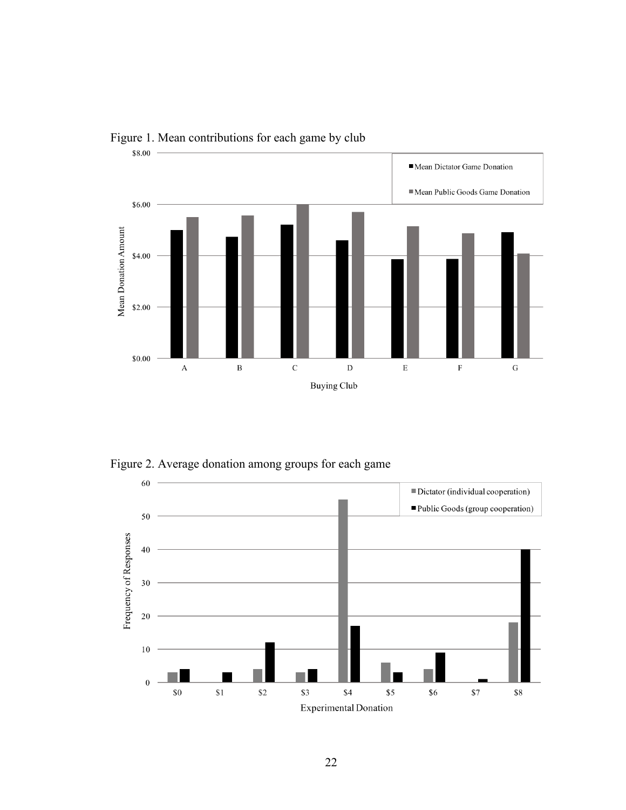

Figure 1. Mean contributions for each game by club

Figure 2. Average donation among groups for each game

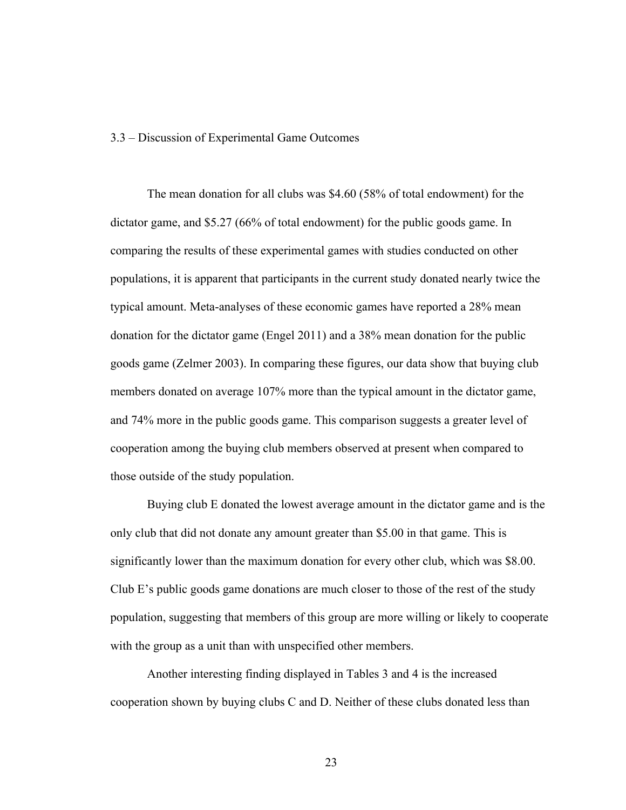#### 3.3 – Discussion of Experimental Game Outcomes

The mean donation for all clubs was \$4.60 (58% of total endowment) for the dictator game, and \$5.27 (66% of total endowment) for the public goods game. In comparing the results of these experimental games with studies conducted on other populations, it is apparent that participants in the current study donated nearly twice the typical amount. Meta-analyses of these economic games have reported a 28% mean donation for the dictator game (Engel 2011) and a 38% mean donation for the public goods game (Zelmer 2003). In comparing these figures, our data show that buying club members donated on average 107% more than the typical amount in the dictator game, and 74% more in the public goods game. This comparison suggests a greater level of cooperation among the buying club members observed at present when compared to those outside of the study population.

Buying club E donated the lowest average amount in the dictator game and is the only club that did not donate any amount greater than \$5.00 in that game. This is significantly lower than the maximum donation for every other club, which was \$8.00. Club E's public goods game donations are much closer to those of the rest of the study population, suggesting that members of this group are more willing or likely to cooperate with the group as a unit than with unspecified other members.

Another interesting finding displayed in Tables 3 and 4 is the increased cooperation shown by buying clubs C and D. Neither of these clubs donated less than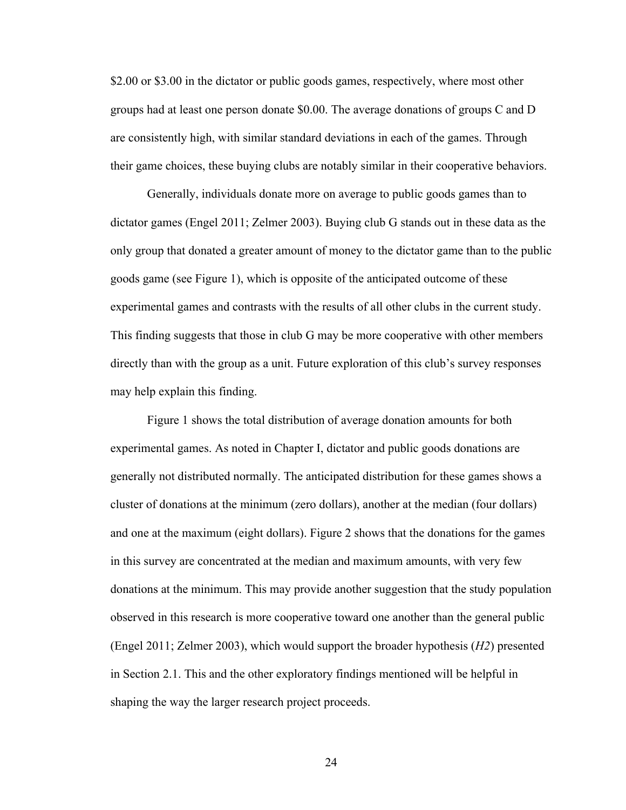\$2.00 or \$3.00 in the dictator or public goods games, respectively, where most other groups had at least one person donate \$0.00. The average donations of groups C and D are consistently high, with similar standard deviations in each of the games. Through their game choices, these buying clubs are notably similar in their cooperative behaviors.

Generally, individuals donate more on average to public goods games than to dictator games (Engel 2011; Zelmer 2003). Buying club G stands out in these data as the only group that donated a greater amount of money to the dictator game than to the public goods game (see Figure 1), which is opposite of the anticipated outcome of these experimental games and contrasts with the results of all other clubs in the current study. This finding suggests that those in club G may be more cooperative with other members directly than with the group as a unit. Future exploration of this club's survey responses may help explain this finding.

Figure 1 shows the total distribution of average donation amounts for both experimental games. As noted in Chapter I, dictator and public goods donations are generally not distributed normally. The anticipated distribution for these games shows a cluster of donations at the minimum (zero dollars), another at the median (four dollars) and one at the maximum (eight dollars). Figure 2 shows that the donations for the games in this survey are concentrated at the median and maximum amounts, with very few donations at the minimum. This may provide another suggestion that the study population observed in this research is more cooperative toward one another than the general public (Engel 2011; Zelmer 2003), which would support the broader hypothesis (*H2*) presented in Section 2.1. This and the other exploratory findings mentioned will be helpful in shaping the way the larger research project proceeds.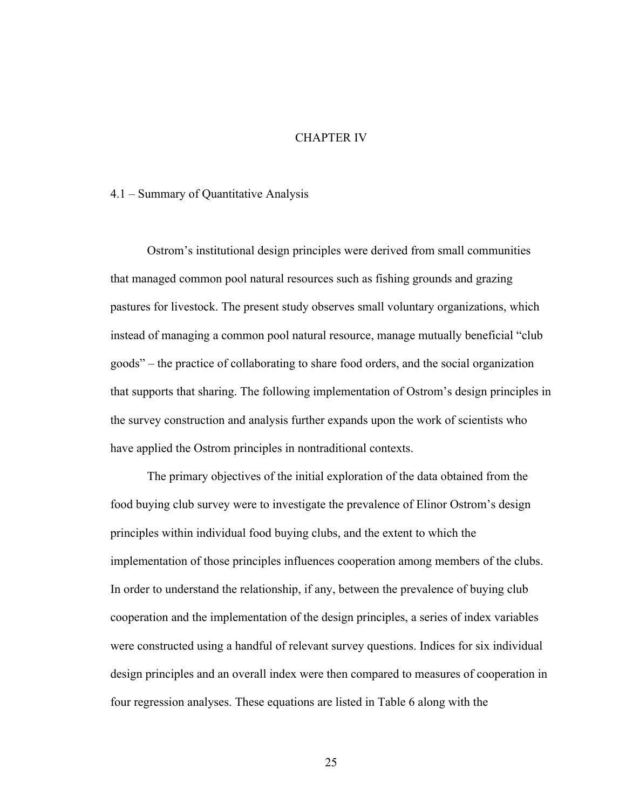#### CHAPTER IV

#### 4.1 – Summary of Quantitative Analysis

Ostrom's institutional design principles were derived from small communities that managed common pool natural resources such as fishing grounds and grazing pastures for livestock. The present study observes small voluntary organizations, which instead of managing a common pool natural resource, manage mutually beneficial "club goods" – the practice of collaborating to share food orders, and the social organization that supports that sharing. The following implementation of Ostrom's design principles in the survey construction and analysis further expands upon the work of scientists who have applied the Ostrom principles in nontraditional contexts.

The primary objectives of the initial exploration of the data obtained from the food buying club survey were to investigate the prevalence of Elinor Ostrom's design principles within individual food buying clubs, and the extent to which the implementation of those principles influences cooperation among members of the clubs. In order to understand the relationship, if any, between the prevalence of buying club cooperation and the implementation of the design principles, a series of index variables were constructed using a handful of relevant survey questions. Indices for six individual design principles and an overall index were then compared to measures of cooperation in four regression analyses. These equations are listed in Table 6 along with the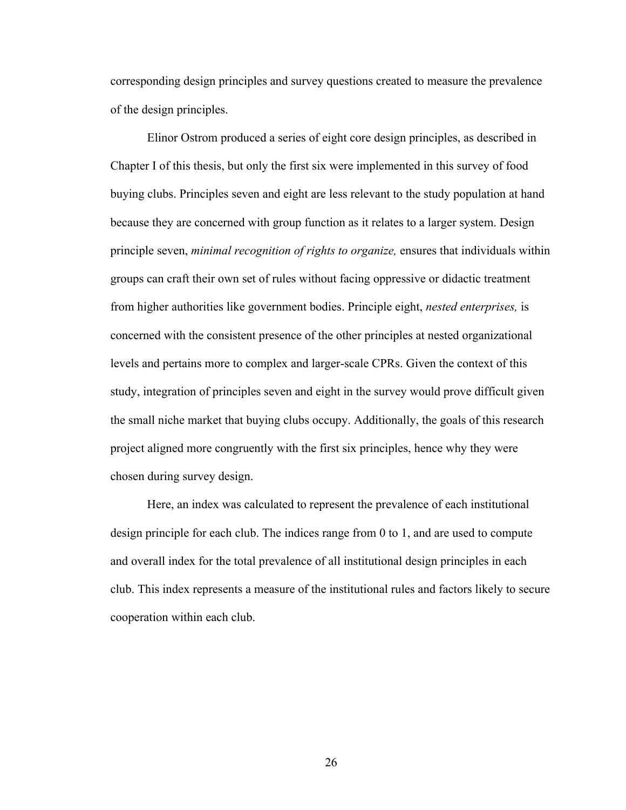corresponding design principles and survey questions created to measure the prevalence of the design principles.

Elinor Ostrom produced a series of eight core design principles, as described in Chapter I of this thesis, but only the first six were implemented in this survey of food buying clubs. Principles seven and eight are less relevant to the study population at hand because they are concerned with group function as it relates to a larger system. Design principle seven, *minimal recognition of rights to organize,* ensures that individuals within groups can craft their own set of rules without facing oppressive or didactic treatment from higher authorities like government bodies. Principle eight, *nested enterprises,* is concerned with the consistent presence of the other principles at nested organizational levels and pertains more to complex and larger-scale CPRs. Given the context of this study, integration of principles seven and eight in the survey would prove difficult given the small niche market that buying clubs occupy. Additionally, the goals of this research project aligned more congruently with the first six principles, hence why they were chosen during survey design.

Here, an index was calculated to represent the prevalence of each institutional design principle for each club. The indices range from 0 to 1, and are used to compute and overall index for the total prevalence of all institutional design principles in each club. This index represents a measure of the institutional rules and factors likely to secure cooperation within each club.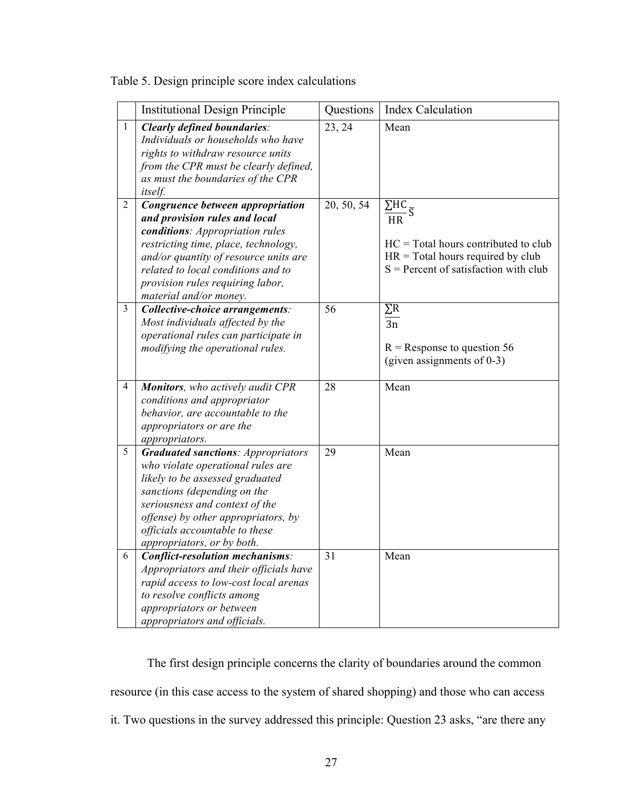|  |  | Table 5. Design principle score index calculations |  |
|--|--|----------------------------------------------------|--|
|  |  |                                                    |  |

|                | <b>Institutional Design Principle</b>                                                                                                                                                                                                                                                     | Questions  | <b>Index Calculation</b>                                                                                                                                                       |
|----------------|-------------------------------------------------------------------------------------------------------------------------------------------------------------------------------------------------------------------------------------------------------------------------------------------|------------|--------------------------------------------------------------------------------------------------------------------------------------------------------------------------------|
| $\mathbf{1}$   | <b>Clearly defined boundaries:</b><br>Individuals or households who have<br>rights to withdraw resource units<br>from the CPR must be clearly defined,<br>as must the boundaries of the CPR<br>itself.                                                                                    | 23, 24     | Mean                                                                                                                                                                           |
| $\overline{2}$ | Congruence between appropriation<br>and provision rules and local<br>conditions: Appropriation rules<br>restricting time, place, technology,<br>and/or quantity of resource units are<br>related to local conditions and to<br>provision rules requiring labor,<br>material and/or money. | 20, 50, 54 | $\overline{\Sigma \text{HC}}_{\overline{S}}$<br>НR<br>$HC = Total hours contributed to club$<br>$HR = Total hours required by club$<br>$S =$ Percent of satisfaction with club |
| $\overline{3}$ | Collective-choice arrangements:<br>Most individuals affected by the<br>operational rules can participate in<br>modifying the operational rules.                                                                                                                                           | 56         | $\sum R$<br>$\overline{3n}$<br>$R$ = Response to question 56<br>(given assignments of 0-3)                                                                                     |
| 4              | <b>Monitors</b> , who actively audit CPR<br>conditions and appropriator<br>behavior, are accountable to the<br>appropriators or are the<br>appropriators.                                                                                                                                 | 28         | Mean                                                                                                                                                                           |
| 5              | <b>Graduated sanctions: Appropriators</b><br>who violate operational rules are<br>likely to be assessed graduated<br>sanctions (depending on the<br>seriousness and context of the<br>offense) by other appropriators, by<br>officials accountable to these<br>appropriators, or by both. | 29         | Mean                                                                                                                                                                           |
| 6              | <b>Conflict-resolution mechanisms:</b><br>Appropriators and their officials have<br>rapid access to low-cost local arenas<br>to resolve conflicts among<br>appropriators or between<br>appropriators and officials.                                                                       | 31         | Mean                                                                                                                                                                           |

The first design principle concerns the clarity of boundaries around the common resource (in this case access to the system of shared shopping) and those who can access it. Two questions in the survey addressed this principle: Question 23 asks, "are there any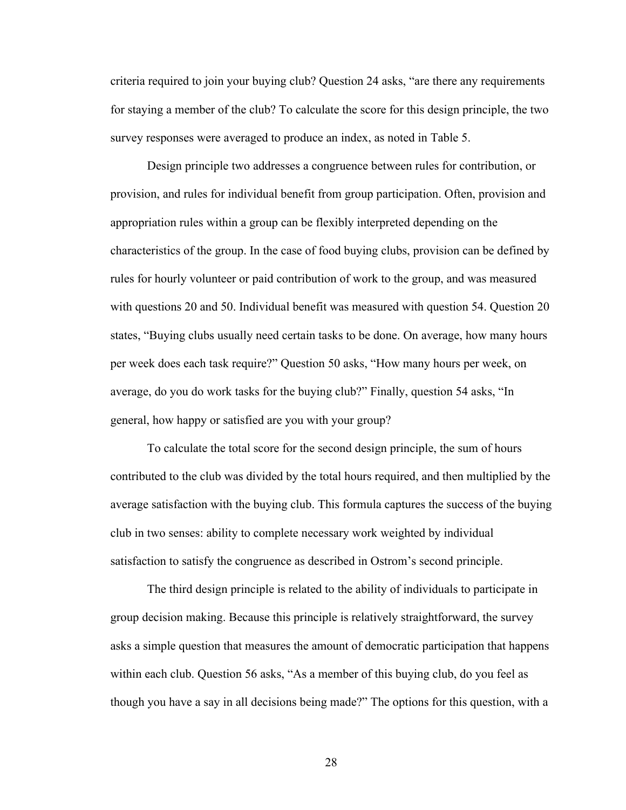criteria required to join your buying club? Question 24 asks, "are there any requirements for staying a member of the club? To calculate the score for this design principle, the two survey responses were averaged to produce an index, as noted in Table 5.

Design principle two addresses a congruence between rules for contribution, or provision, and rules for individual benefit from group participation. Often, provision and appropriation rules within a group can be flexibly interpreted depending on the characteristics of the group. In the case of food buying clubs, provision can be defined by rules for hourly volunteer or paid contribution of work to the group, and was measured with questions 20 and 50. Individual benefit was measured with question 54. Question 20 states, "Buying clubs usually need certain tasks to be done. On average, how many hours per week does each task require?" Question 50 asks, "How many hours per week, on average, do you do work tasks for the buying club?" Finally, question 54 asks, "In general, how happy or satisfied are you with your group?

To calculate the total score for the second design principle, the sum of hours contributed to the club was divided by the total hours required, and then multiplied by the average satisfaction with the buying club. This formula captures the success of the buying club in two senses: ability to complete necessary work weighted by individual satisfaction to satisfy the congruence as described in Ostrom's second principle.

The third design principle is related to the ability of individuals to participate in group decision making. Because this principle is relatively straightforward, the survey asks a simple question that measures the amount of democratic participation that happens within each club. Question 56 asks, "As a member of this buying club, do you feel as though you have a say in all decisions being made?" The options for this question, with a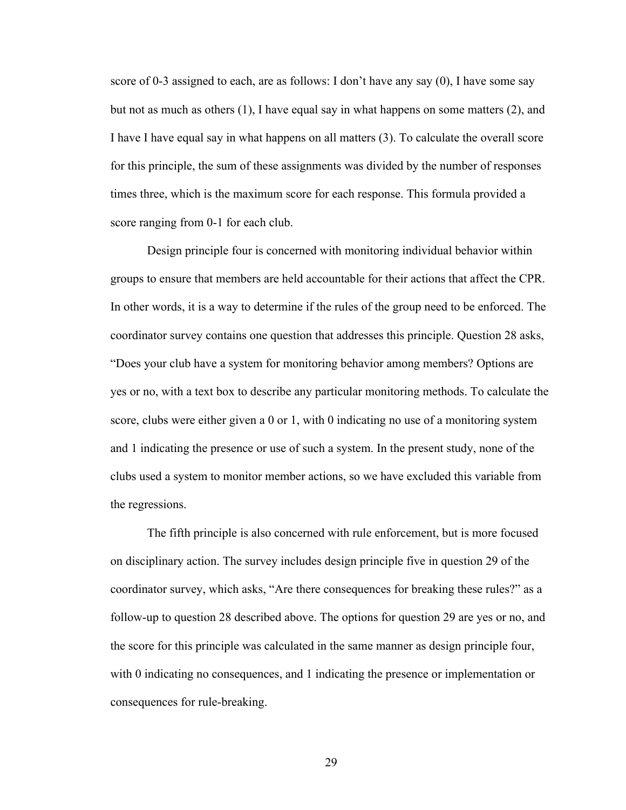score of 0-3 assigned to each, are as follows: I don't have any say (0), I have some say but not as much as others  $(1)$ , I have equal say in what happens on some matters  $(2)$ , and I have I have equal say in what happens on all matters (3). To calculate the overall score for this principle, the sum of these assignments was divided by the number of responses times three, which is the maximum score for each response. This formula provided a score ranging from 0-1 for each club.

Design principle four is concerned with monitoring individual behavior within groups to ensure that members are held accountable for their actions that affect the CPR. In other words, it is a way to determine if the rules of the group need to be enforced. The coordinator survey contains one question that addresses this principle. Question 28 asks, "Does your club have a system for monitoring behavior among members? Options are yes or no, with a text box to describe any particular monitoring methods. To calculate the score, clubs were either given a 0 or 1, with 0 indicating no use of a monitoring system and 1 indicating the presence or use of such a system. In the present study, none of the clubs used a system to monitor member actions, so we have excluded this variable from the regressions.

The fifth principle is also concerned with rule enforcement, but is more focused on disciplinary action. The survey includes design principle five in question 29 of the coordinator survey, which asks, "Are there consequences for breaking these rules?" as a follow-up to question 28 described above. The options for question 29 are yes or no, and the score for this principle was calculated in the same manner as design principle four, with 0 indicating no consequences, and 1 indicating the presence or implementation or consequences for rule-breaking.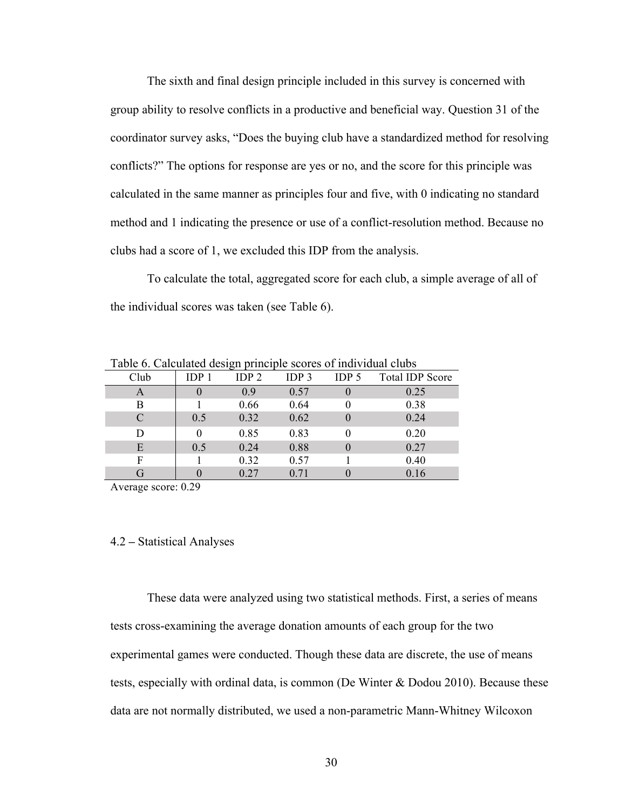The sixth and final design principle included in this survey is concerned with group ability to resolve conflicts in a productive and beneficial way. Question 31 of the coordinator survey asks, "Does the buying club have a standardized method for resolving conflicts?" The options for response are yes or no, and the score for this principle was calculated in the same manner as principles four and five, with 0 indicating no standard method and 1 indicating the presence or use of a conflict-resolution method. Because no clubs had a score of 1, we excluded this IDP from the analysis.

To calculate the total, aggregated score for each club, a simple average of all of the individual scores was taken (see Table 6).

|      | Table 6. Calculated design principle scores of individual clubs |                  |                  |                  |                        |  |  |  |
|------|-----------------------------------------------------------------|------------------|------------------|------------------|------------------------|--|--|--|
| Club | IDP <sub>1</sub>                                                | IDP <sub>2</sub> | IDP <sub>3</sub> | IDP <sub>5</sub> | <b>Total IDP Score</b> |  |  |  |
| A    |                                                                 | 0.9              | 0.57             |                  | 0.25                   |  |  |  |
| B    |                                                                 | 0.66             | 0.64             |                  | 0.38                   |  |  |  |
| C    | 0.5                                                             | 0.32             | 0.62             |                  | 0.24                   |  |  |  |
| D    |                                                                 | 0.85             | 0.83             |                  | 0.20                   |  |  |  |
| E    | 0.5                                                             | 0.24             | 0.88             |                  | 0.27                   |  |  |  |
| F    |                                                                 | 0.32             | 0.57             |                  | 0.40                   |  |  |  |
| G    |                                                                 | 0.27             | 0.71             |                  | 0.16                   |  |  |  |

Table 6. Calculated design principle scores of individual clubs

Average score: 0.29

#### 4.2 **–** Statistical Analyses

These data were analyzed using two statistical methods. First, a series of means tests cross-examining the average donation amounts of each group for the two experimental games were conducted. Though these data are discrete, the use of means tests, especially with ordinal data, is common (De Winter & Dodou 2010). Because these data are not normally distributed, we used a non-parametric Mann-Whitney Wilcoxon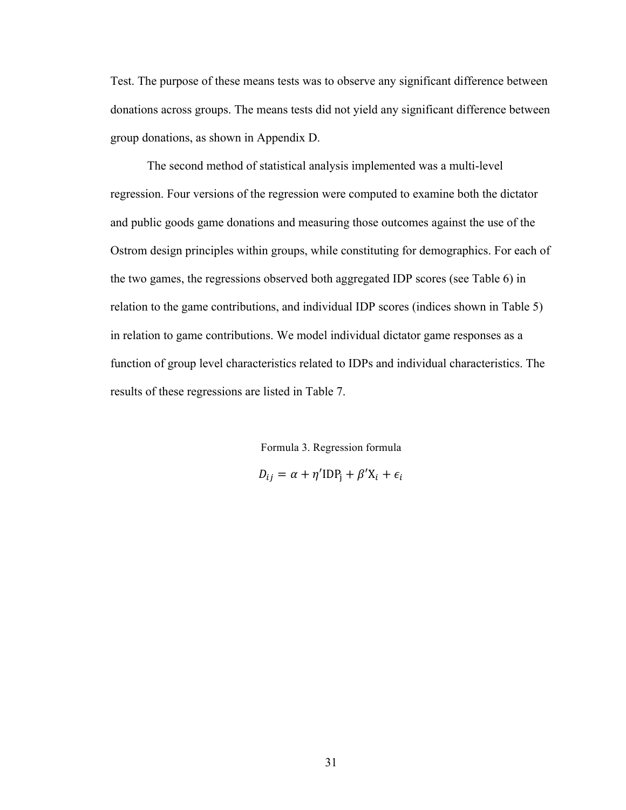Test. The purpose of these means tests was to observe any significant difference between donations across groups. The means tests did not yield any significant difference between group donations, as shown in Appendix D.

The second method of statistical analysis implemented was a multi-level regression. Four versions of the regression were computed to examine both the dictator and public goods game donations and measuring those outcomes against the use of the Ostrom design principles within groups, while constituting for demographics. For each of the two games, the regressions observed both aggregated IDP scores (see Table 6) in relation to the game contributions, and individual IDP scores (indices shown in Table 5) in relation to game contributions. We model individual dictator game responses as a function of group level characteristics related to IDPs and individual characteristics. The results of these regressions are listed in Table 7.

Formula 3. Regression formula

 $D_{ij} = \alpha + \eta' \text{IDP}_i + \beta' X_i + \epsilon_i$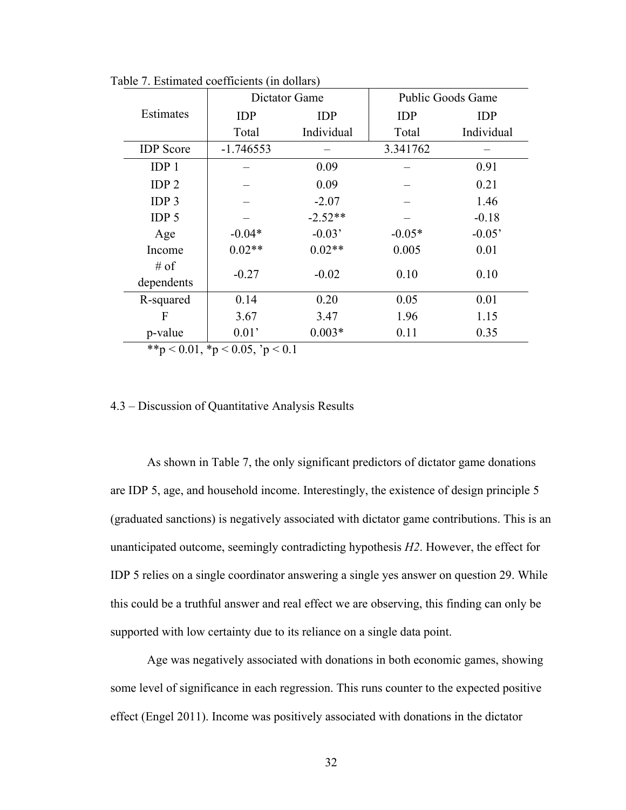|                                 |             | Dictator Game | <b>Public Goods Game</b> |            |  |  |
|---------------------------------|-------------|---------------|--------------------------|------------|--|--|
| Estimates                       | <b>IDP</b>  | <b>IDP</b>    | <b>IDP</b>               | <b>IDP</b> |  |  |
|                                 | Total       | Individual    | Total                    | Individual |  |  |
| <b>IDP</b> Score                | $-1.746553$ |               | 3.341762                 |            |  |  |
| IDP <sub>1</sub>                |             | 0.09          |                          | 0.91       |  |  |
| IDP <sub>2</sub>                |             | 0.09          |                          | 0.21       |  |  |
| IDP <sub>3</sub>                |             | $-2.07$       |                          | 1.46       |  |  |
| IDP <sub>5</sub>                |             | $-2.52**$     |                          | $-0.18$    |  |  |
| Age                             | $-0.04*$    | $-0.03'$      | $-0.05*$                 | $-0.05'$   |  |  |
| Income                          | $0.02**$    | $0.02**$      | 0.005                    | 0.01       |  |  |
| $#$ of<br>dependents            | $-0.27$     | $-0.02$       | 0.10                     | 0.10       |  |  |
| R-squared                       | 0.14        | 0.20          | 0.05                     | 0.01       |  |  |
| F                               | 3.67        | 3.47          | 1.96                     | 1.15       |  |  |
| p-value                         | 0.01'       | $0.003*$      | 0.11                     | 0.35       |  |  |
| **p < 0.01, *p < 0.05, 'p < 0.1 |             |               |                          |            |  |  |

Table 7. Estimated coefficients (in dollars)

#### 4.3 – Discussion of Quantitative Analysis Results

As shown in Table 7, the only significant predictors of dictator game donations are IDP 5, age, and household income. Interestingly, the existence of design principle 5 (graduated sanctions) is negatively associated with dictator game contributions. This is an unanticipated outcome, seemingly contradicting hypothesis *H2*. However, the effect for IDP 5 relies on a single coordinator answering a single yes answer on question 29. While this could be a truthful answer and real effect we are observing, this finding can only be supported with low certainty due to its reliance on a single data point.

Age was negatively associated with donations in both economic games, showing some level of significance in each regression. This runs counter to the expected positive effect (Engel 2011). Income was positively associated with donations in the dictator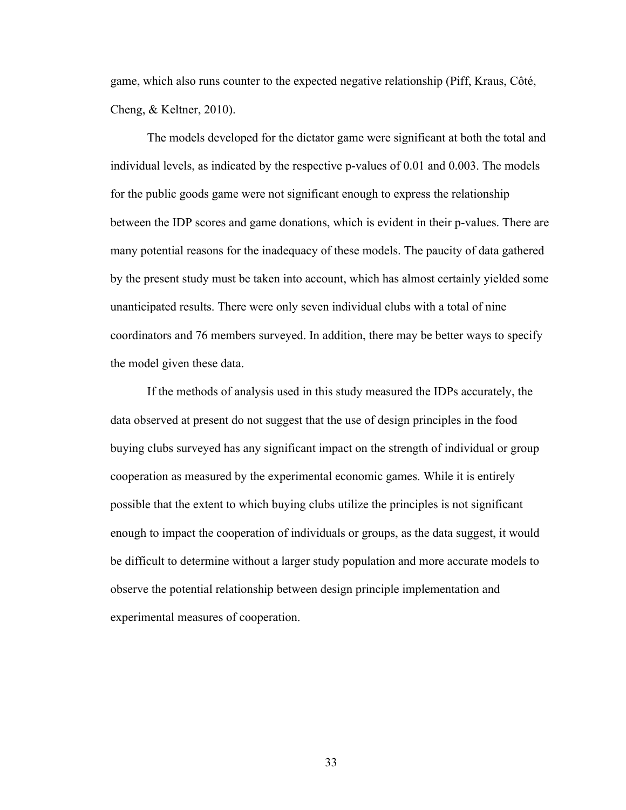game, which also runs counter to the expected negative relationship (Piff, Kraus, Côté, Cheng, & Keltner, 2010).

The models developed for the dictator game were significant at both the total and individual levels, as indicated by the respective p-values of 0.01 and 0.003. The models for the public goods game were not significant enough to express the relationship between the IDP scores and game donations, which is evident in their p-values. There are many potential reasons for the inadequacy of these models. The paucity of data gathered by the present study must be taken into account, which has almost certainly yielded some unanticipated results. There were only seven individual clubs with a total of nine coordinators and 76 members surveyed. In addition, there may be better ways to specify the model given these data.

If the methods of analysis used in this study measured the IDPs accurately, the data observed at present do not suggest that the use of design principles in the food buying clubs surveyed has any significant impact on the strength of individual or group cooperation as measured by the experimental economic games. While it is entirely possible that the extent to which buying clubs utilize the principles is not significant enough to impact the cooperation of individuals or groups, as the data suggest, it would be difficult to determine without a larger study population and more accurate models to observe the potential relationship between design principle implementation and experimental measures of cooperation.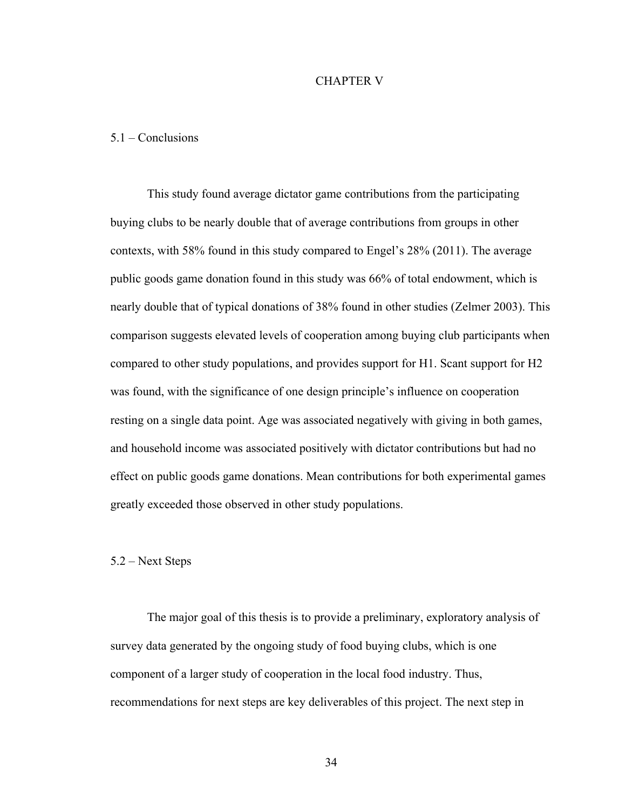#### CHAPTER V

#### 5.1 – Conclusions

This study found average dictator game contributions from the participating buying clubs to be nearly double that of average contributions from groups in other contexts, with 58% found in this study compared to Engel's 28% (2011). The average public goods game donation found in this study was 66% of total endowment, which is nearly double that of typical donations of 38% found in other studies (Zelmer 2003). This comparison suggests elevated levels of cooperation among buying club participants when compared to other study populations, and provides support for H1. Scant support for H2 was found, with the significance of one design principle's influence on cooperation resting on a single data point. Age was associated negatively with giving in both games, and household income was associated positively with dictator contributions but had no effect on public goods game donations. Mean contributions for both experimental games greatly exceeded those observed in other study populations.

#### 5.2 – Next Steps

The major goal of this thesis is to provide a preliminary, exploratory analysis of survey data generated by the ongoing study of food buying clubs, which is one component of a larger study of cooperation in the local food industry. Thus, recommendations for next steps are key deliverables of this project. The next step in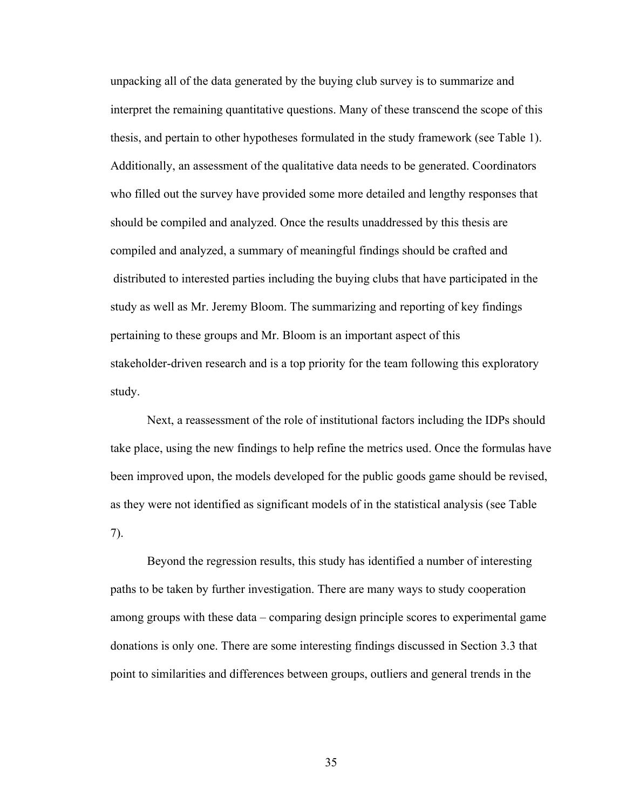unpacking all of the data generated by the buying club survey is to summarize and interpret the remaining quantitative questions. Many of these transcend the scope of this thesis, and pertain to other hypotheses formulated in the study framework (see Table 1). Additionally, an assessment of the qualitative data needs to be generated. Coordinators who filled out the survey have provided some more detailed and lengthy responses that should be compiled and analyzed. Once the results unaddressed by this thesis are compiled and analyzed, a summary of meaningful findings should be crafted and distributed to interested parties including the buying clubs that have participated in the study as well as Mr. Jeremy Bloom. The summarizing and reporting of key findings pertaining to these groups and Mr. Bloom is an important aspect of this stakeholder-driven research and is a top priority for the team following this exploratory study.

Next, a reassessment of the role of institutional factors including the IDPs should take place, using the new findings to help refine the metrics used. Once the formulas have been improved upon, the models developed for the public goods game should be revised, as they were not identified as significant models of in the statistical analysis (see Table 7).

Beyond the regression results, this study has identified a number of interesting paths to be taken by further investigation. There are many ways to study cooperation among groups with these data – comparing design principle scores to experimental game donations is only one. There are some interesting findings discussed in Section 3.3 that point to similarities and differences between groups, outliers and general trends in the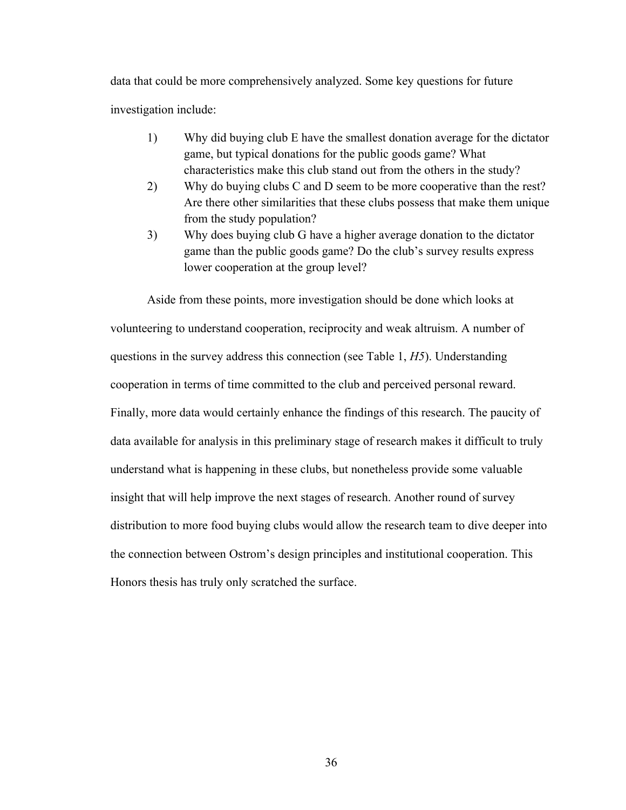data that could be more comprehensively analyzed. Some key questions for future investigation include:

- 1) Why did buying club E have the smallest donation average for the dictator game, but typical donations for the public goods game? What characteristics make this club stand out from the others in the study?
- 2) Why do buying clubs C and D seem to be more cooperative than the rest? Are there other similarities that these clubs possess that make them unique from the study population?
- 3) Why does buying club G have a higher average donation to the dictator game than the public goods game? Do the club's survey results express lower cooperation at the group level?

Aside from these points, more investigation should be done which looks at volunteering to understand cooperation, reciprocity and weak altruism. A number of questions in the survey address this connection (see Table 1, *H5*). Understanding cooperation in terms of time committed to the club and perceived personal reward. Finally, more data would certainly enhance the findings of this research. The paucity of data available for analysis in this preliminary stage of research makes it difficult to truly understand what is happening in these clubs, but nonetheless provide some valuable insight that will help improve the next stages of research. Another round of survey distribution to more food buying clubs would allow the research team to dive deeper into the connection between Ostrom's design principles and institutional cooperation. This Honors thesis has truly only scratched the surface.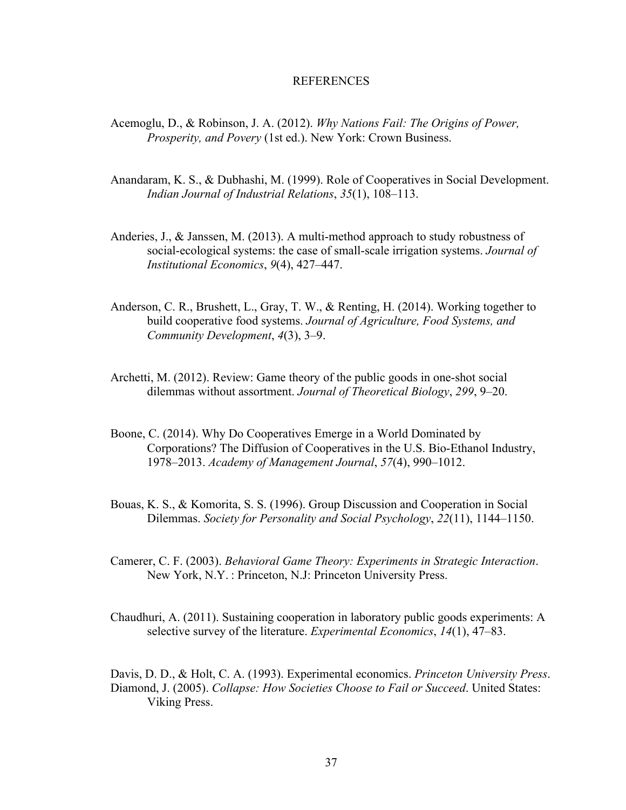#### REFERENCES

- Acemoglu, D., & Robinson, J. A. (2012). *Why Nations Fail: The Origins of Power, Prosperity, and Povery* (1st ed.). New York: Crown Business.
- Anandaram, K. S., & Dubhashi, M. (1999). Role of Cooperatives in Social Development. *Indian Journal of Industrial Relations*, *35*(1), 108–113.
- Anderies, J., & Janssen, M. (2013). A multi-method approach to study robustness of social-ecological systems: the case of small-scale irrigation systems. *Journal of Institutional Economics*, *9*(4), 427–447.
- Anderson, C. R., Brushett, L., Gray, T. W., & Renting, H. (2014). Working together to build cooperative food systems. *Journal of Agriculture, Food Systems, and Community Development*, *4*(3), 3–9.
- Archetti, M. (2012). Review: Game theory of the public goods in one-shot social dilemmas without assortment. *Journal of Theoretical Biology*, *299*, 9–20.
- Boone, C. (2014). Why Do Cooperatives Emerge in a World Dominated by Corporations? The Diffusion of Cooperatives in the U.S. Bio-Ethanol Industry, 1978–2013. *Academy of Management Journal*, *57*(4), 990–1012.
- Bouas, K. S., & Komorita, S. S. (1996). Group Discussion and Cooperation in Social Dilemmas. *Society for Personality and Social Psychology*, *22*(11), 1144–1150.
- Camerer, C. F. (2003). *Behavioral Game Theory: Experiments in Strategic Interaction*. New York, N.Y. : Princeton, N.J: Princeton University Press.
- Chaudhuri, A. (2011). Sustaining cooperation in laboratory public goods experiments: A selective survey of the literature. *Experimental Economics*, *14*(1), 47–83.
- Davis, D. D., & Holt, C. A. (1993). Experimental economics. *Princeton University Press*. Diamond, J. (2005). *Collapse: How Societies Choose to Fail or Succeed*. United States: Viking Press.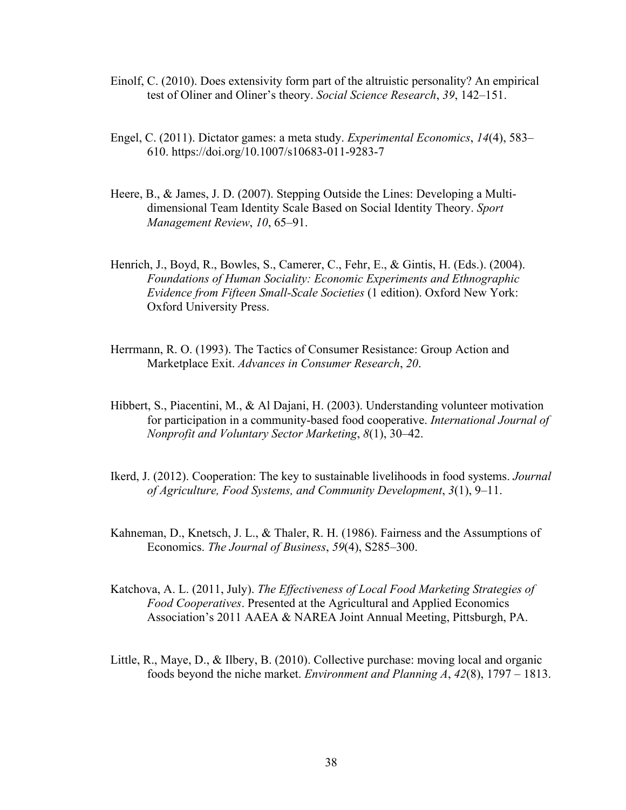- Einolf, C. (2010). Does extensivity form part of the altruistic personality? An empirical test of Oliner and Oliner's theory. *Social Science Research*, *39*, 142–151.
- Engel, C. (2011). Dictator games: a meta study. *Experimental Economics*, *14*(4), 583– 610. https://doi.org/10.1007/s10683-011-9283-7
- Heere, B., & James, J. D. (2007). Stepping Outside the Lines: Developing a Multidimensional Team Identity Scale Based on Social Identity Theory. *Sport Management Review*, *10*, 65–91.
- Henrich, J., Boyd, R., Bowles, S., Camerer, C., Fehr, E., & Gintis, H. (Eds.). (2004). *Foundations of Human Sociality: Economic Experiments and Ethnographic Evidence from Fifteen Small-Scale Societies* (1 edition). Oxford New York: Oxford University Press.
- Herrmann, R. O. (1993). The Tactics of Consumer Resistance: Group Action and Marketplace Exit. *Advances in Consumer Research*, *20*.
- Hibbert, S., Piacentini, M., & Al Dajani, H. (2003). Understanding volunteer motivation for participation in a community-based food cooperative. *International Journal of Nonprofit and Voluntary Sector Marketing*, *8*(1), 30–42.
- Ikerd, J. (2012). Cooperation: The key to sustainable livelihoods in food systems. *Journal of Agriculture, Food Systems, and Community Development*, *3*(1), 9–11.
- Kahneman, D., Knetsch, J. L., & Thaler, R. H. (1986). Fairness and the Assumptions of Economics. *The Journal of Business*, *59*(4), S285–300.
- Katchova, A. L. (2011, July). *The Effectiveness of Local Food Marketing Strategies of Food Cooperatives*. Presented at the Agricultural and Applied Economics Association's 2011 AAEA & NAREA Joint Annual Meeting, Pittsburgh, PA.
- Little, R., Maye, D., & Ilbery, B. (2010). Collective purchase: moving local and organic foods beyond the niche market. *Environment and Planning A*, *42*(8), 1797 – 1813.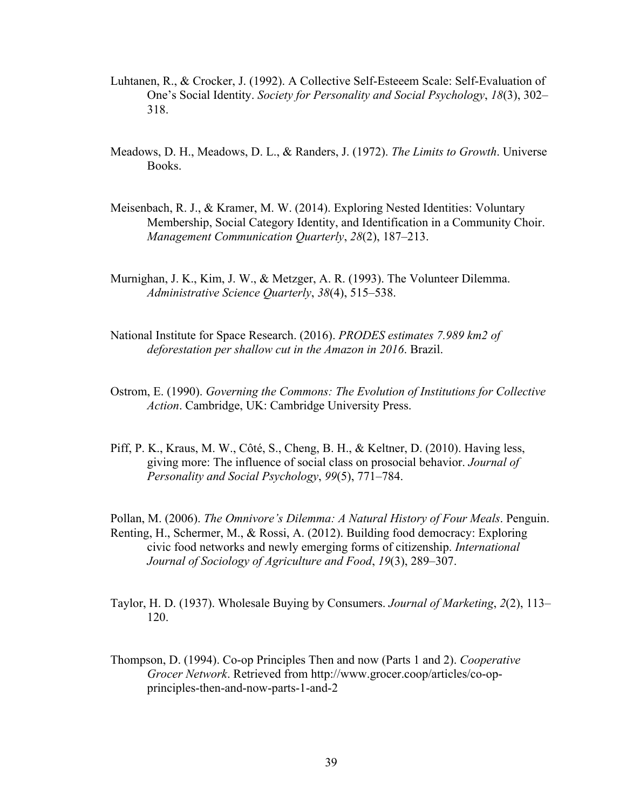- Luhtanen, R., & Crocker, J. (1992). A Collective Self-Esteeem Scale: Self-Evaluation of One's Social Identity. *Society for Personality and Social Psychology*, *18*(3), 302– 318.
- Meadows, D. H., Meadows, D. L., & Randers, J. (1972). *The Limits to Growth*. Universe Books.
- Meisenbach, R. J., & Kramer, M. W. (2014). Exploring Nested Identities: Voluntary Membership, Social Category Identity, and Identification in a Community Choir. *Management Communication Quarterly*, *28*(2), 187–213.
- Murnighan, J. K., Kim, J. W., & Metzger, A. R. (1993). The Volunteer Dilemma. *Administrative Science Quarterly*, *38*(4), 515–538.
- National Institute for Space Research. (2016). *PRODES estimates 7.989 km2 of deforestation per shallow cut in the Amazon in 2016*. Brazil.
- Ostrom, E. (1990). *Governing the Commons: The Evolution of Institutions for Collective Action*. Cambridge, UK: Cambridge University Press.
- Piff, P. K., Kraus, M. W., Côté, S., Cheng, B. H., & Keltner, D. (2010). Having less, giving more: The influence of social class on prosocial behavior. *Journal of Personality and Social Psychology*, *99*(5), 771–784.

Pollan, M. (2006). *The Omnivore's Dilemma: A Natural History of Four Meals*. Penguin. Renting, H., Schermer, M., & Rossi, A. (2012). Building food democracy: Exploring civic food networks and newly emerging forms of citizenship. *International Journal of Sociology of Agriculture and Food*, *19*(3), 289–307.

- Taylor, H. D. (1937). Wholesale Buying by Consumers. *Journal of Marketing*, *2*(2), 113– 120.
- Thompson, D. (1994). Co-op Principles Then and now (Parts 1 and 2). *Cooperative Grocer Network*. Retrieved from http://www.grocer.coop/articles/co-opprinciples-then-and-now-parts-1-and-2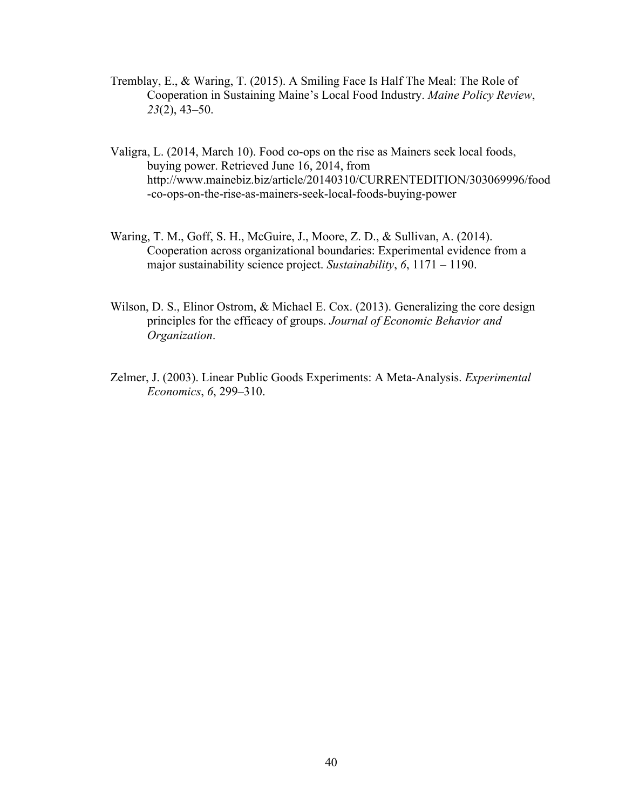- Tremblay, E., & Waring, T. (2015). A Smiling Face Is Half The Meal: The Role of Cooperation in Sustaining Maine's Local Food Industry. *Maine Policy Review*, *23*(2), 43–50.
- Valigra, L. (2014, March 10). Food co-ops on the rise as Mainers seek local foods, buying power. Retrieved June 16, 2014, from http://www.mainebiz.biz/article/20140310/CURRENTEDITION/303069996/food -co-ops-on-the-rise-as-mainers-seek-local-foods-buying-power
- Waring, T. M., Goff, S. H., McGuire, J., Moore, Z. D., & Sullivan, A. (2014). Cooperation across organizational boundaries: Experimental evidence from a major sustainability science project. *Sustainability*, *6*, 1171 – 1190.
- Wilson, D. S., Elinor Ostrom, & Michael E. Cox. (2013). Generalizing the core design principles for the efficacy of groups. *Journal of Economic Behavior and Organization*.
- Zelmer, J. (2003). Linear Public Goods Experiments: A Meta-Analysis. *Experimental Economics*, *6*, 299–310.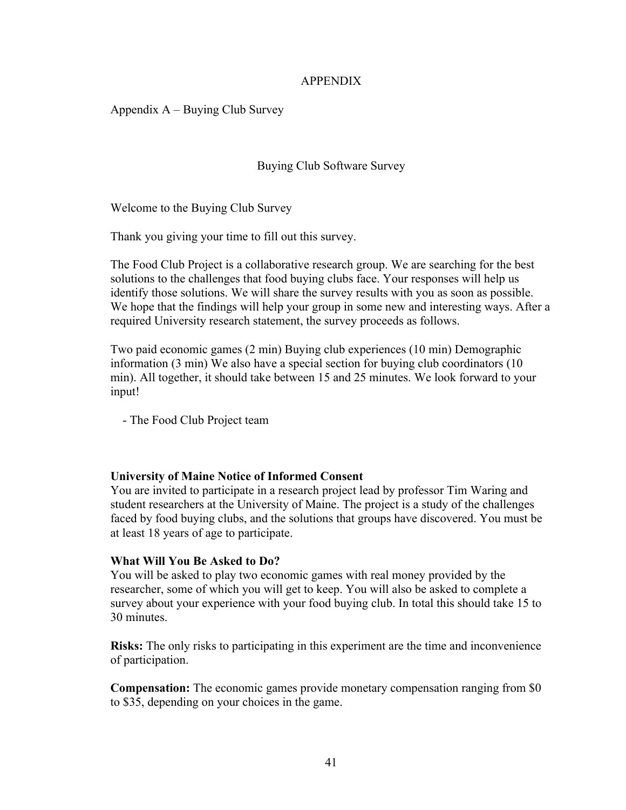#### APPENDIX

Appendix A – Buying Club Survey

Buying Club Software Survey

Welcome to the Buying Club Survey

Thank you giving your time to fill out this survey.

The Food Club Project is a collaborative research group. We are searching for the best solutions to the challenges that food buying clubs face. Your responses will help us identify those solutions. We will share the survey results with you as soon as possible. We hope that the findings will help your group in some new and interesting ways. After a required University research statement, the survey proceeds as follows.

Two paid economic games (2 min) Buying club experiences (10 min) Demographic information (3 min) We also have a special section for buying club coordinators (10 min). All together, it should take between 15 and 25 minutes. We look forward to your input!

- The Food Club Project team

#### **University of Maine Notice of Informed Consent**

You are invited to participate in a research project lead by professor Tim Waring and student researchers at the University of Maine. The project is a study of the challenges faced by food buying clubs, and the solutions that groups have discovered. You must be at least 18 years of age to participate.

#### **What Will You Be Asked to Do?**

You will be asked to play two economic games with real money provided by the researcher, some of which you will get to keep. You will also be asked to complete a survey about your experience with your food buying club. In total this should take 15 to 30 minutes.

**Risks:** The only risks to participating in this experiment are the time and inconvenience of participation.

**Compensation:** The economic games provide monetary compensation ranging from \$0 to \$35, depending on your choices in the game.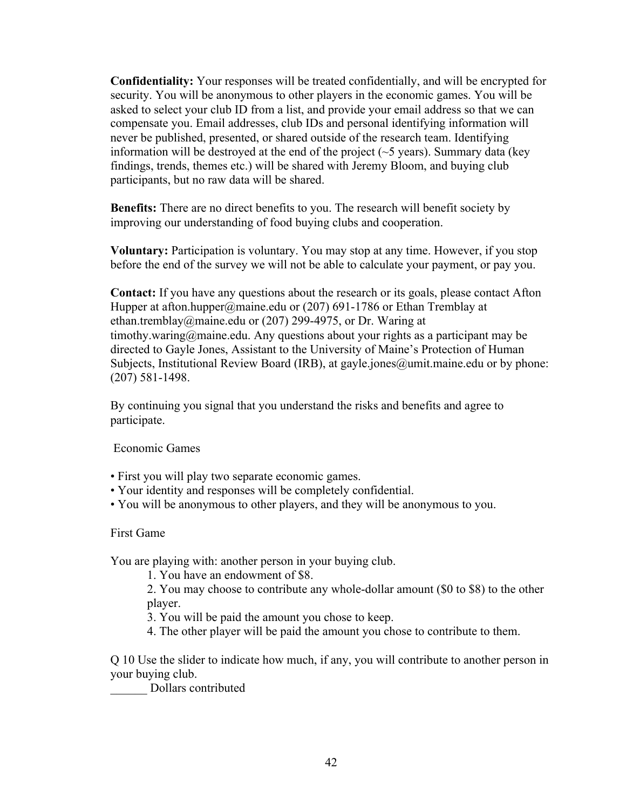**Confidentiality:** Your responses will be treated confidentially, and will be encrypted for security. You will be anonymous to other players in the economic games. You will be asked to select your club ID from a list, and provide your email address so that we can compensate you. Email addresses, club IDs and personal identifying information will never be published, presented, or shared outside of the research team. Identifying information will be destroyed at the end of the project  $(-5 \text{ years})$ . Summary data (key findings, trends, themes etc.) will be shared with Jeremy Bloom, and buying club participants, but no raw data will be shared.

**Benefits:** There are no direct benefits to you. The research will benefit society by improving our understanding of food buying clubs and cooperation.

**Voluntary:** Participation is voluntary. You may stop at any time. However, if you stop before the end of the survey we will not be able to calculate your payment, or pay you.

**Contact:** If you have any questions about the research or its goals, please contact Afton Hupper at afton.hupper@maine.edu or (207) 691-1786 or Ethan Tremblay at ethan.tremblay@maine.edu or (207) 299-4975, or Dr. Waring at timothy.waring@maine.edu. Any questions about your rights as a participant may be directed to Gayle Jones, Assistant to the University of Maine's Protection of Human Subjects, Institutional Review Board (IRB), at gayle.jones@umit.maine.edu or by phone: (207) 581-1498.

By continuing you signal that you understand the risks and benefits and agree to participate.

Economic Games

- First you will play two separate economic games.
- Your identity and responses will be completely confidential.
- You will be anonymous to other players, and they will be anonymous to you.

First Game

You are playing with: another person in your buying club.

1. You have an endowment of \$8.

2. You may choose to contribute any whole-dollar amount (\$0 to \$8) to the other player.

3. You will be paid the amount you chose to keep.

4. The other player will be paid the amount you chose to contribute to them.

Q 10 Use the slider to indicate how much, if any, you will contribute to another person in your buying club.

\_\_\_\_\_\_ Dollars contributed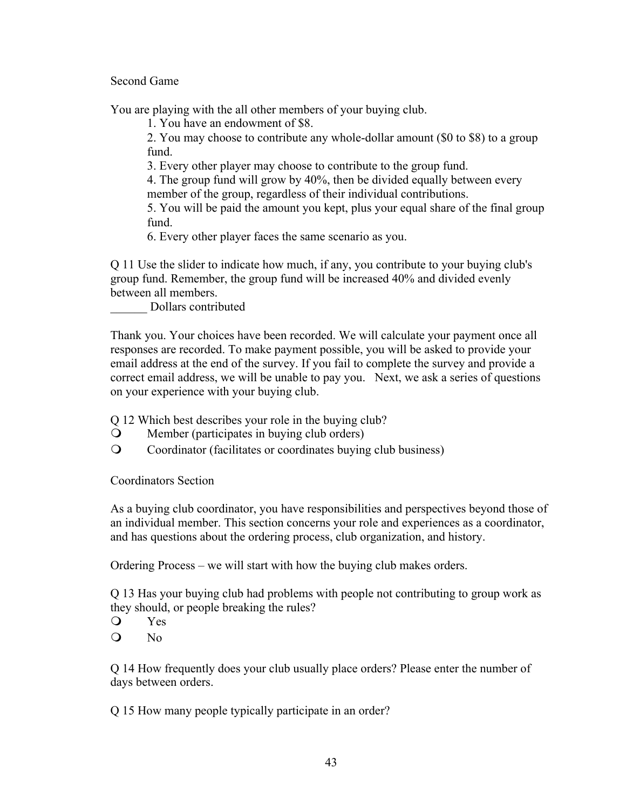## Second Game

You are playing with the all other members of your buying club.

1. You have an endowment of \$8.

2. You may choose to contribute any whole-dollar amount (\$0 to \$8) to a group fund.

3. Every other player may choose to contribute to the group fund.

4. The group fund will grow by 40%, then be divided equally between every member of the group, regardless of their individual contributions.

5. You will be paid the amount you kept, plus your equal share of the final group fund.

6. Every other player faces the same scenario as you.

Q 11 Use the slider to indicate how much, if any, you contribute to your buying club's group fund. Remember, the group fund will be increased 40% and divided evenly between all members.

\_\_\_\_\_\_ Dollars contributed

Thank you. Your choices have been recorded. We will calculate your payment once all responses are recorded. To make payment possible, you will be asked to provide your email address at the end of the survey. If you fail to complete the survey and provide a correct email address, we will be unable to pay you. Next, we ask a series of questions on your experience with your buying club.

Q 12 Which best describes your role in the buying club?

- $\Omega$  Member (participates in buying club orders)
- **Q** Coordinator (facilitates or coordinates buying club business)

Coordinators Section

As a buying club coordinator, you have responsibilities and perspectives beyond those of an individual member. This section concerns your role and experiences as a coordinator, and has questions about the ordering process, club organization, and history.

Ordering Process – we will start with how the buying club makes orders.

Q 13 Has your buying club had problems with people not contributing to group work as they should, or people breaking the rules?

**Q** Yes

 $Q$  No

Q 14 How frequently does your club usually place orders? Please enter the number of days between orders.

Q 15 How many people typically participate in an order?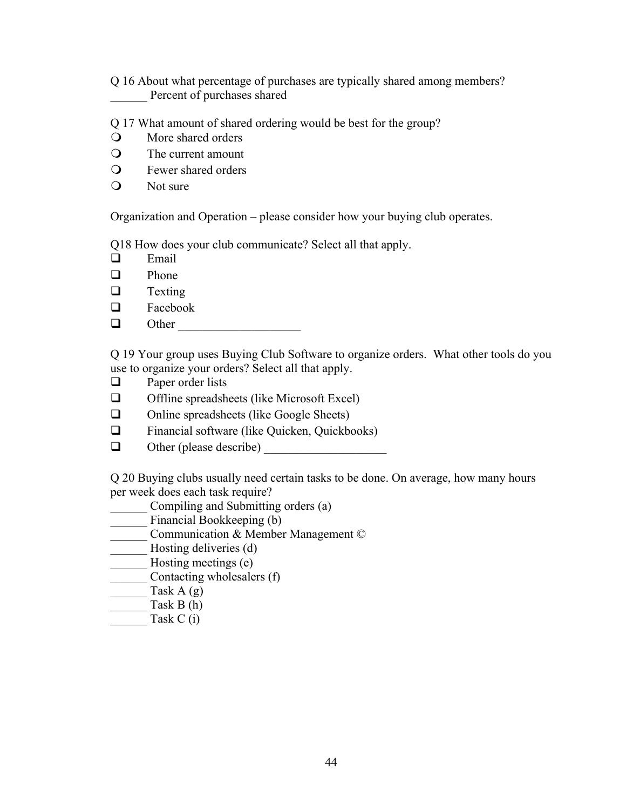Q 16 About what percentage of purchases are typically shared among members? Percent of purchases shared

Q 17 What amount of shared ordering would be best for the group?

- O More shared orders
- $\Omega$  The current amount
- $\mathbf Q$  Fewer shared orders
- $\mathbf{Q}$  Not sure

Organization and Operation – please consider how your buying club operates.

Q18 How does your club communicate? Select all that apply.

- $\Box$  Email
- $\Box$  Phone
- $\Box$  Texting
- $\Box$  Facebook
- q Other \_\_\_\_\_\_\_\_\_\_\_\_\_\_\_\_\_\_\_\_

Q 19 Your group uses Buying Club Software to organize orders. What other tools do you use to organize your orders? Select all that apply.

- $\Box$  Paper order lists
- $\Box$  Offline spreadsheets (like Microsoft Excel)
- $\Box$  Online spreadsheets (like Google Sheets)
- $\Box$  Financial software (like Quicken, Quickbooks)
- $\Box$  Other (please describe)

Q 20 Buying clubs usually need certain tasks to be done. On average, how many hours per week does each task require?

- \_\_\_\_\_\_ Compiling and Submitting orders (a)
- **EXECUTE:** Financial Bookkeeping (b)
- Communication & Member Management ©
- \_\_\_\_\_\_\_<br>Hosting deliveries (d)
- **\_\_\_\_\_\_** Hosting meetings (e)
- \_\_\_\_\_\_ Contacting wholesalers (f)
- Task  $A(g)$
- Task B  $(h)$
- Task C  $(i)$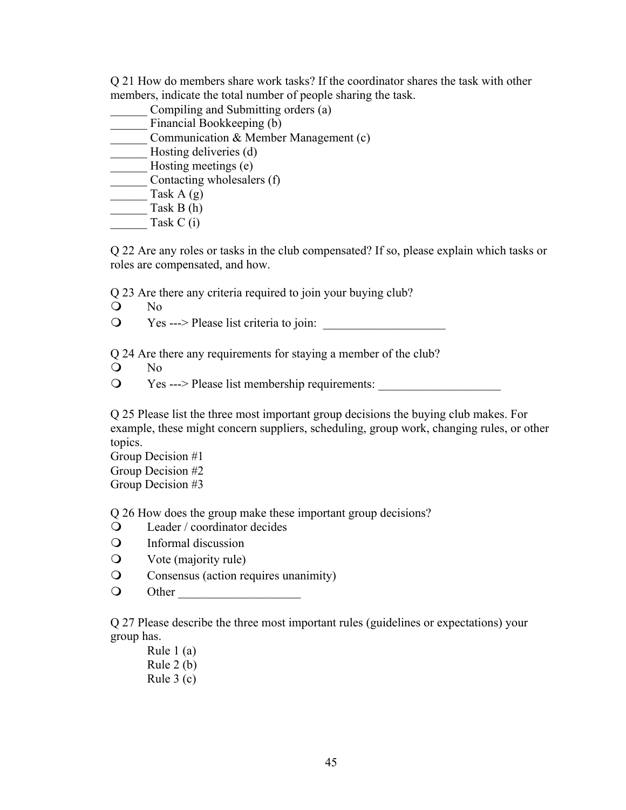Q 21 How do members share work tasks? If the coordinator shares the task with other members, indicate the total number of people sharing the task.

- Compiling and Submitting orders (a) \_\_\_\_\_\_ Financial Bookkeeping (b) \_\_\_\_\_\_ Communication & Member Management (c) \_\_\_\_\_\_\_ Hosting deliveries (d) **Example 3** Hosting meetings (e) \_\_\_\_\_\_ Contacting wholesalers (f)  $\frac{3}{\pi}$  Task A (g) Task B (h)
- Task C (i)

Q 22 Are any roles or tasks in the club compensated? If so, please explain which tasks or roles are compensated, and how.

Q 23 Are there any criteria required to join your buying club?

- $Q$  No
- $\mathbf{Q}$  Yes ---> Please list criteria to join:

Q 24 Are there any requirements for staying a member of the club?

- $\overline{Q}$  No
- **The Set ----> Please list membership requirements:**  $\overline{Q}$

Q 25 Please list the three most important group decisions the buying club makes. For example, these might concern suppliers, scheduling, group work, changing rules, or other topics.

Group Decision #1 Group Decision #2 Group Decision #3

Q 26 How does the group make these important group decisions?

- $\Omega$  Leader / coordinator decides
- $\Omega$  Informal discussion
- $\mathbf Q$  Vote (majority rule)
- **Q** Consensus (action requires unanimity)
- m Other \_\_\_\_\_\_\_\_\_\_\_\_\_\_\_\_\_\_\_\_

Q 27 Please describe the three most important rules (guidelines or expectations) your group has.

Rule 1 (a) Rule 2 (b) Rule 3 (c)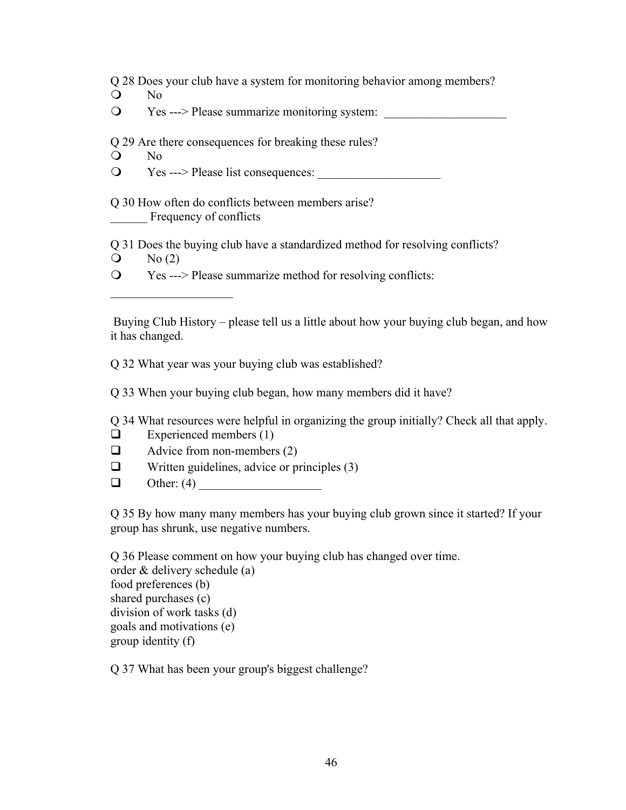Q 28 Does your club have a system for monitoring behavior among members?

 $\overline{Q}$  No

**The Set ---> Please summarize monitoring system:**  $\bullet$ 

Q 29 Are there consequences for breaking these rules?

O No

 $\bullet$  Yes ---> Please list consequences:

Q 30 How often do conflicts between members arise? Frequency of conflicts

Q 31 Does the buying club have a standardized method for resolving conflicts?

 $\mathcal{O} \qquad \text{No (2)}$ 

 $\mathcal{L}_\text{max}$ 

m Yes ---> Please summarize method for resolving conflicts:

Buying Club History – please tell us a little about how your buying club began, and how it has changed.

Q 32 What year was your buying club was established?

Q 33 When your buying club began, how many members did it have?

Q 34 What resources were helpful in organizing the group initially? Check all that apply.

- $\Box$  Experienced members (1)
- $\Box$  Advice from non-members (2)
- $\Box$  Written guidelines, advice or principles (3)
- $\Box$  Other: (4)

Q 35 By how many many members has your buying club grown since it started? If your group has shrunk, use negative numbers.

Q 36 Please comment on how your buying club has changed over time.

order & delivery schedule (a) food preferences (b) shared purchases (c) division of work tasks (d) goals and motivations (e) group identity (f)

Q 37 What has been your group's biggest challenge?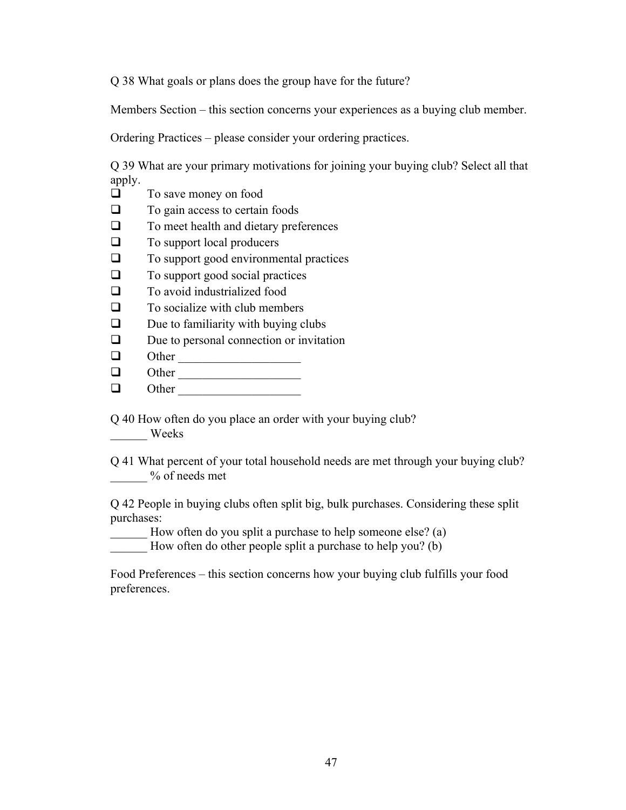Q 38 What goals or plans does the group have for the future?

Members Section – this section concerns your experiences as a buying club member.

Ordering Practices – please consider your ordering practices.

Q 39 What are your primary motivations for joining your buying club? Select all that apply.

- $\Box$  To save money on food
- $\Box$  To gain access to certain foods
- $\Box$  To meet health and dietary preferences
- $\Box$  To support local producers
- $\Box$  To support good environmental practices
- $\Box$  To support good social practices
- $\Box$  To avoid industrialized food
- $\Box$  To socialize with club members

 $\Box$  Due to familiarity with buying clubs

 $\Box$  Due to personal connection or invitation

- $\Box$  Other
- q Other \_\_\_\_\_\_\_\_\_\_\_\_\_\_\_\_\_\_\_\_
- $\Box$  Other

Q 40 How often do you place an order with your buying club? \_\_\_\_\_\_ Weeks

Q 41 What percent of your total household needs are met through your buying club? \_\_\_\_\_\_ % of needs met

Q 42 People in buying clubs often split big, bulk purchases. Considering these split purchases:

How often do you split a purchase to help someone else? (a)

How often do other people split a purchase to help you? (b)

Food Preferences – this section concerns how your buying club fulfills your food preferences.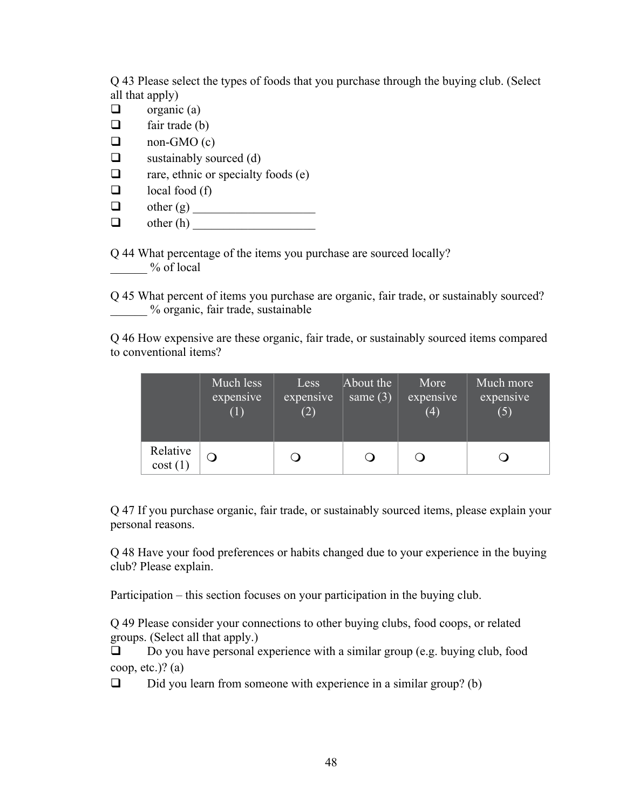Q 43 Please select the types of foods that you purchase through the buying club. (Select all that apply)

- $\Box$  organic (a)
- $\Box$  fair trade (b)
- $\Box$  non-GMO (c)
- $\Box$  sustainably sourced (d)
- $\Box$  rare, ethnic or specialty foods (e)
- $\Box$  local food (f)
- q other (g) \_\_\_\_\_\_\_\_\_\_\_\_\_\_\_\_\_\_\_\_
- q other (h) \_\_\_\_\_\_\_\_\_\_\_\_\_\_\_\_\_\_\_\_

Q 44 What percentage of the items you purchase are sourced locally?  $\%$  of local

Q 45 What percent of items you purchase are organic, fair trade, or sustainably sourced? \_\_\_\_\_\_ % organic, fair trade, sustainable

Q 46 How expensive are these organic, fair trade, or sustainably sourced items compared to conventional items?

|                        | Much less<br>expensive<br>$\perp$ | Less<br>expensive<br>(2) | About the<br>same $(3)$ | More<br>expensive<br>(4) | Much more<br>expensive<br>(5) |
|------------------------|-----------------------------------|--------------------------|-------------------------|--------------------------|-------------------------------|
| Relative<br>cost $(1)$ |                                   |                          |                         |                          |                               |

Q 47 If you purchase organic, fair trade, or sustainably sourced items, please explain your personal reasons.

Q 48 Have your food preferences or habits changed due to your experience in the buying club? Please explain.

Participation – this section focuses on your participation in the buying club.

Q 49 Please consider your connections to other buying clubs, food coops, or related groups. (Select all that apply.)

 $\Box$  Do you have personal experience with a similar group (e.g. buying club, food coop, etc.)?  $(a)$ 

 $\Box$  Did you learn from someone with experience in a similar group? (b)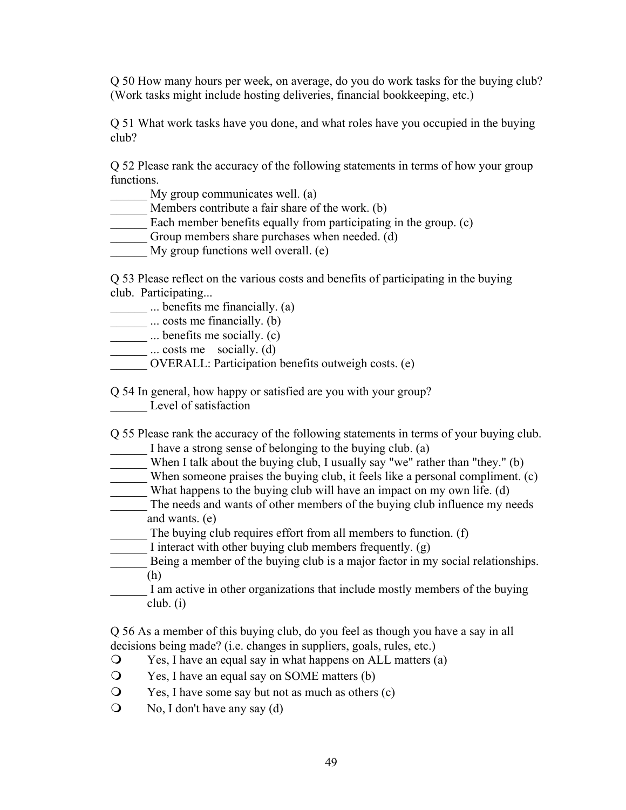Q 50 How many hours per week, on average, do you do work tasks for the buying club? (Work tasks might include hosting deliveries, financial bookkeeping, etc.)

Q 51 What work tasks have you done, and what roles have you occupied in the buying club?

Q 52 Please rank the accuracy of the following statements in terms of how your group functions.

My group communicates well. (a)

Members contribute a fair share of the work. (b)

- Each member benefits equally from participating in the group. (c)
- Group members share purchases when needed. (d)
- My group functions well overall. (e)

Q 53 Please reflect on the various costs and benefits of participating in the buying club. Participating...

... benefits me financially. (a)

**...** ... costs me financially. (b)

 $\frac{1}{\sqrt{2}}$  ... benefits me socially. (c)

 $\frac{1}{\sqrt{a}}$  ... costs me socially. (d)

\_\_\_\_\_\_ OVERALL: Participation benefits outweigh costs. (e)

Q 54 In general, how happy or satisfied are you with your group? Level of satisfaction

Q 55 Please rank the accuracy of the following statements in terms of your buying club.

- I have a strong sense of belonging to the buying club. (a)
- \_\_\_\_\_\_ When I talk about the buying club, I usually say "we" rather than "they." (b)
- When someone praises the buying club, it feels like a personal compliment. (c)
- What happens to the buying club will have an impact on my own life. (d)
- \_\_\_\_\_\_ The needs and wants of other members of the buying club influence my needs and wants. (e)
- \_\_\_\_\_\_ The buying club requires effort from all members to function. (f)
- I interact with other buying club members frequently. (g)
- Being a member of the buying club is a major factor in my social relationships. (h)
- I am active in other organizations that include mostly members of the buying club. (i)

Q 56 As a member of this buying club, do you feel as though you have a say in all decisions being made? (i.e. changes in suppliers, goals, rules, etc.)

- $\mathcal{Q}$  Yes, I have an equal say in what happens on ALL matters (a)
- $\mathcal{Q}$  Yes, I have an equal say on SOME matters (b)
- $\mathcal{Q}$  Yes, I have some say but not as much as others (c)
- $\bigcirc$  No, I don't have any say (d)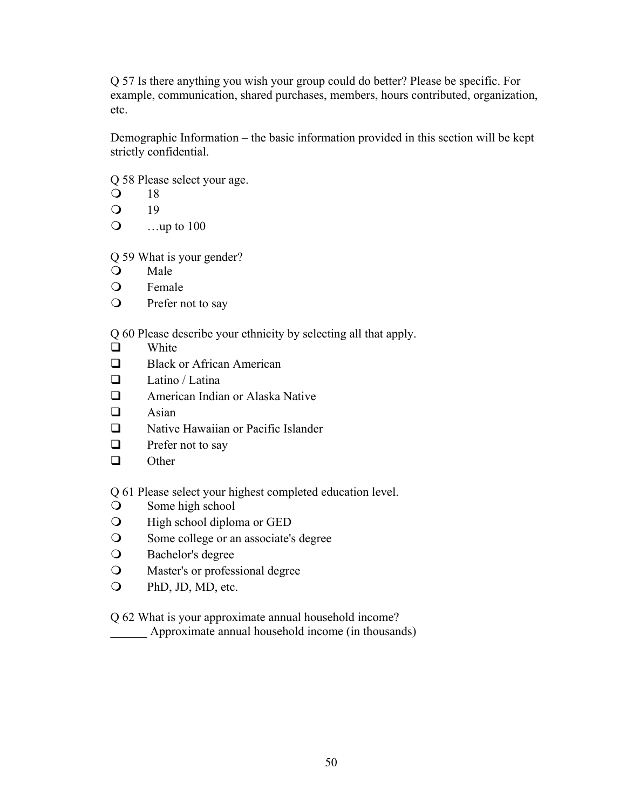Q 57 Is there anything you wish your group could do better? Please be specific. For example, communication, shared purchases, members, hours contributed, organization, etc.

Demographic Information – the basic information provided in this section will be kept strictly confidential.

Q 58 Please select your age.

 $\bigcirc$  18

- $\Omega$  19
- $\Omega$  …up to 100

Q 59 What is your gender?

- Q Male
- **O** Female
- **Q** Prefer not to say

Q 60 Please describe your ethnicity by selecting all that apply.

- $\Box$  White
- $\Box$  Black or African American
- $\Box$  Latino / Latina
- $\Box$  American Indian or Alaska Native
- $\Box$  Asian
- $\Box$  Native Hawaiian or Pacific Islander
- $\Box$  Prefer not to say
- $\Box$  Other

Q 61 Please select your highest completed education level.

- **O** Some high school
- **O** High school diploma or GED
- **O** Some college or an associate's degree
- **O** Bachelor's degree
- **Q** Master's or professional degree
- **Q** PhD, JD, MD, etc.

## Q 62 What is your approximate annual household income?

Approximate annual household income (in thousands)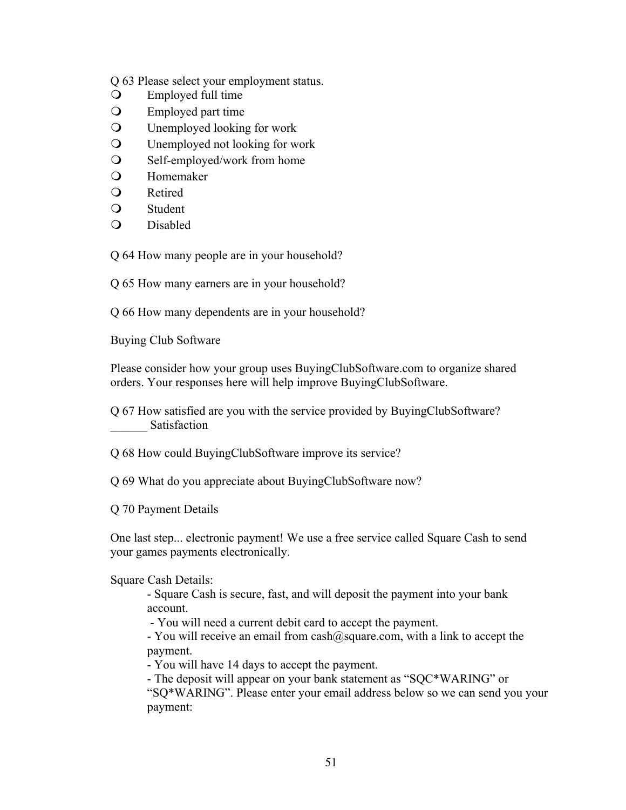Q 63 Please select your employment status.

- $\bigcirc$  Employed full time
- **O** Employed part time
- **Q** Unemployed looking for work
- **Q** Unemployed not looking for work
- $\Omega$  Self-employed/work from home
- **O** Homemaker
- $\Omega$  Retired
- $\Omega$  Student
- Q Disabled

Q 64 How many people are in your household?

Q 65 How many earners are in your household?

Q 66 How many dependents are in your household?

Buying Club Software

Please consider how your group uses BuyingClubSoftware.com to organize shared orders. Your responses here will help improve BuyingClubSoftware.

Q 67 How satisfied are you with the service provided by BuyingClubSoftware? \_\_\_\_\_\_ Satisfaction

Q 68 How could BuyingClubSoftware improve its service?

Q 69 What do you appreciate about BuyingClubSoftware now?

Q 70 Payment Details

One last step... electronic payment! We use a free service called Square Cash to send your games payments electronically.

#### Square Cash Details:

- Square Cash is secure, fast, and will deposit the payment into your bank account.

- You will need a current debit card to accept the payment.

- You will receive an email from cash@square.com, with a link to accept the payment.

- You will have 14 days to accept the payment.

- The deposit will appear on your bank statement as "SQC\*WARING" or "SQ\*WARING". Please enter your email address below so we can send you your payment: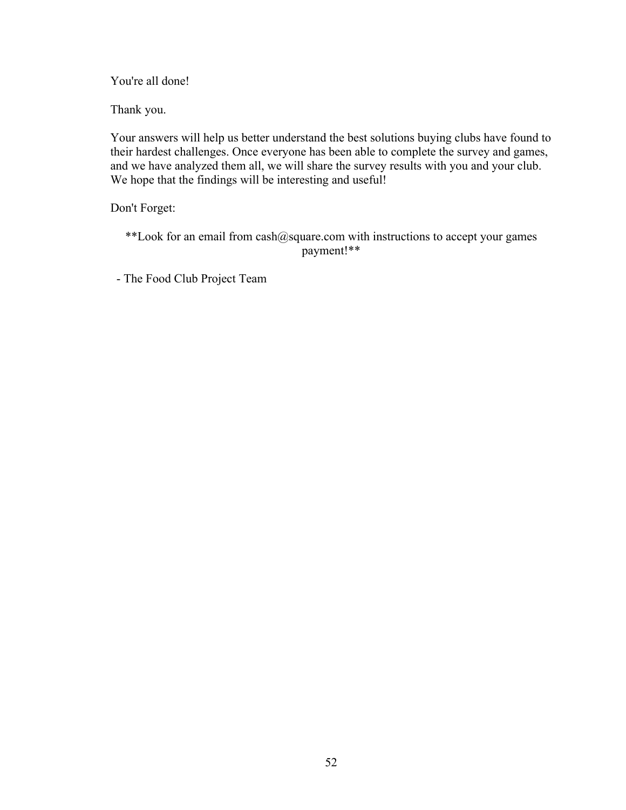You're all done!

Thank you.

Your answers will help us better understand the best solutions buying clubs have found to their hardest challenges. Once everyone has been able to complete the survey and games, and we have analyzed them all, we will share the survey results with you and your club. We hope that the findings will be interesting and useful!

Don't Forget:

\*\*Look for an email from cash@square.com with instructions to accept your games payment!\*\*

- The Food Club Project Team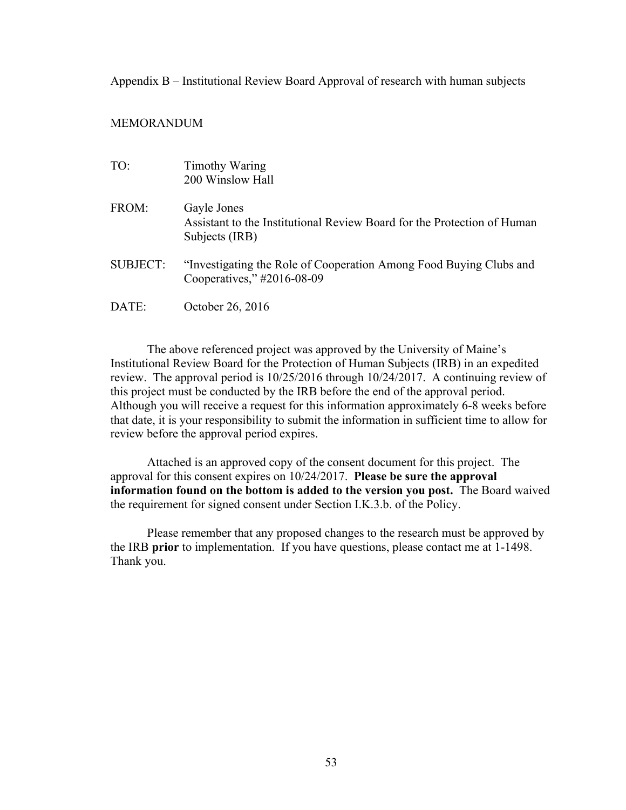Appendix B – Institutional Review Board Approval of research with human subjects

#### MEMORANDUM

| TO:      | <b>Timothy Waring</b><br>200 Winslow Hall                                                                |
|----------|----------------------------------------------------------------------------------------------------------|
| FROM:    | Gayle Jones<br>Assistant to the Institutional Review Board for the Protection of Human<br>Subjects (IRB) |
| SUBJECT: | "Investigating the Role of Cooperation Among Food Buying Clubs and<br>Cooperatives," #2016-08-09         |
| DATE:    | October 26, 2016                                                                                         |

The above referenced project was approved by the University of Maine's Institutional Review Board for the Protection of Human Subjects (IRB) in an expedited review. The approval period is 10/25/2016 through 10/24/2017. A continuing review of this project must be conducted by the IRB before the end of the approval period. Although you will receive a request for this information approximately 6-8 weeks before that date, it is your responsibility to submit the information in sufficient time to allow for review before the approval period expires.

Attached is an approved copy of the consent document for this project. The approval for this consent expires on 10/24/2017. **Please be sure the approval information found on the bottom is added to the version you post.** The Board waived the requirement for signed consent under Section I.K.3.b. of the Policy.

Please remember that any proposed changes to the research must be approved by the IRB **prior** to implementation. If you have questions, please contact me at 1-1498. Thank you.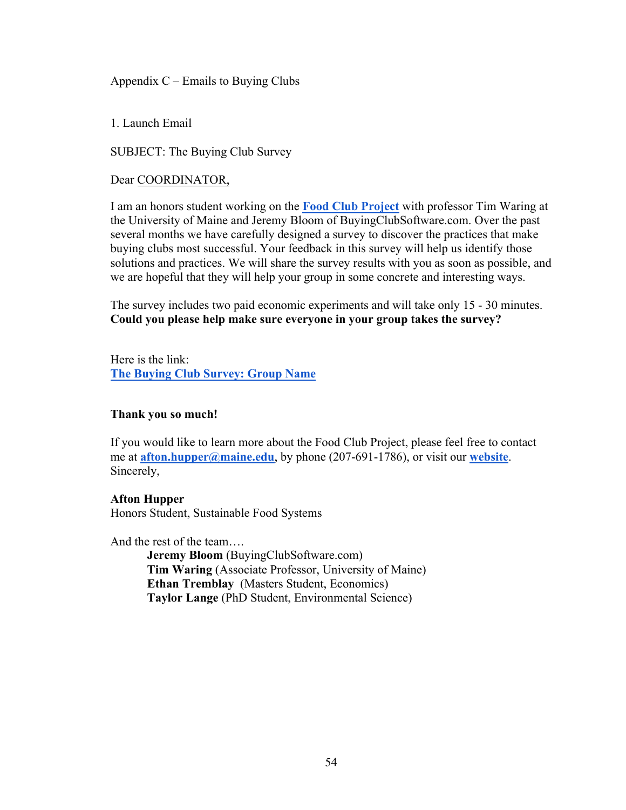Appendix  $C$  – Emails to Buying Clubs

1. Launch Email

SUBJECT: The Buying Club Survey

## Dear COORDINATOR,

I am an honors student working on the **Food Club Project** with professor Tim Waring at the University of Maine and Jeremy Bloom of BuyingClubSoftware.com. Over the past several months we have carefully designed a survey to discover the practices that make buying clubs most successful. Your feedback in this survey will help us identify those solutions and practices. We will share the survey results with you as soon as possible, and we are hopeful that they will help your group in some concrete and interesting ways.

The survey includes two paid economic experiments and will take only 15 - 30 minutes. **Could you please help make sure everyone in your group takes the survey?**

Here is the link: **The Buying Club Survey: Group Name**

#### **Thank you so much!**

If you would like to learn more about the Food Club Project, please feel free to contact me at **afton.hupper@maine.edu**, by phone (207-691-1786), or visit our **website**. Sincerely,

#### **Afton Hupper**

Honors Student, Sustainable Food Systems

And the rest of the team….

**Jeremy Bloom** (BuyingClubSoftware.com) **Tim Waring** (Associate Professor, University of Maine) **Ethan Tremblay** (Masters Student, Economics) **Taylor Lange** (PhD Student, Environmental Science)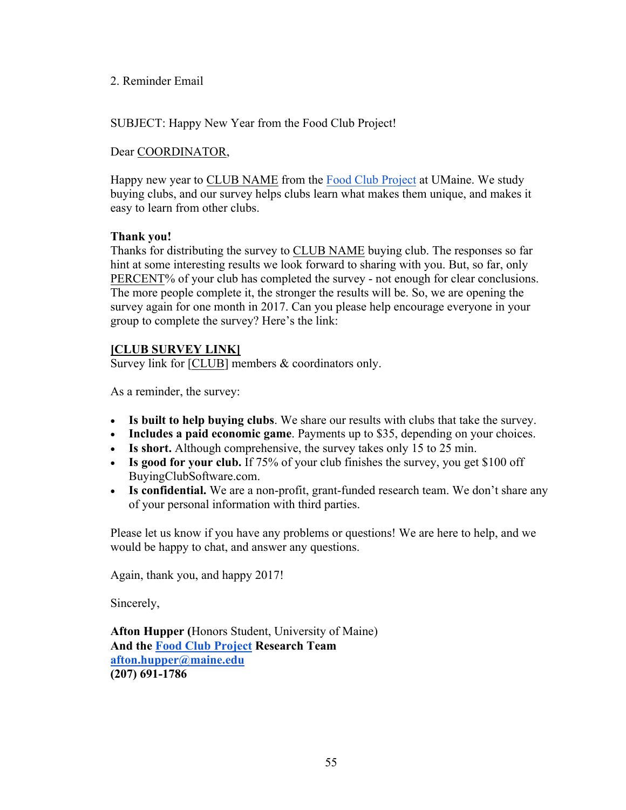## 2. Reminder Email

SUBJECT: Happy New Year from the Food Club Project!

## Dear COORDINATOR,

Happy new year to CLUB NAME from the Food Club Project at UMaine. We study buying clubs, and our survey helps clubs learn what makes them unique, and makes it easy to learn from other clubs.

## **Thank you!**

Thanks for distributing the survey to CLUB NAME buying club. The responses so far hint at some interesting results we look forward to sharing with you. But, so far, only PERCENT% of your club has completed the survey - not enough for clear conclusions. The more people complete it, the stronger the results will be. So, we are opening the survey again for one month in 2017. Can you please help encourage everyone in your group to complete the survey? Here's the link:

## **[CLUB SURVEY LINK]**

Survey link for [CLUB] members & coordinators only.

As a reminder, the survey:

- **Is built to help buying clubs**. We share our results with clubs that take the survey.
- **Includes a paid economic game**. Payments up to \$35, depending on your choices.
- **Is short.** Although comprehensive, the survey takes only 15 to 25 min.
- **Is good for your club.** If 75% of your club finishes the survey, you get \$100 off BuyingClubSoftware.com.
- **Is confidential.** We are a non-profit, grant-funded research team. We don't share any of your personal information with third parties.

Please let us know if you have any problems or questions! We are here to help, and we would be happy to chat, and answer any questions.

Again, thank you, and happy 2017!

Sincerely,

**Afton Hupper (**Honors Student, University of Maine) **And the Food Club Project Research Team afton.hupper@maine.edu (207) 691-1786**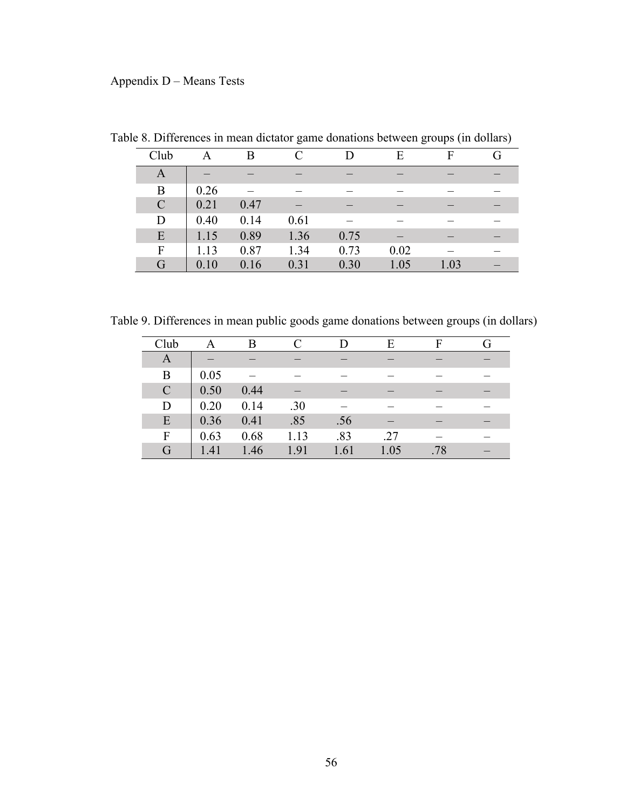## Appendix D – Means Tests

| Club          | A    | B    |      |      | Е    | F    |  |
|---------------|------|------|------|------|------|------|--|
| A             |      |      |      |      |      |      |  |
| B             | 0.26 |      |      |      |      |      |  |
| $\mathcal{C}$ | 0.21 | 0.47 |      |      |      |      |  |
| D             | 0.40 | 0.14 | 0.61 |      |      |      |  |
| E             | 1.15 | 0.89 | 1.36 | 0.75 |      |      |  |
| F             | 1.13 | 0.87 | 1.34 | 0.73 | 0.02 |      |  |
| G             | 0.10 | 0.16 | 0.31 | 0.30 | 1.05 | 1.03 |  |

Table 8. Differences in mean dictator game donations between groups (in dollars)

Table 9. Differences in mean public goods game donations between groups (in dollars)

| Club          |      | B    |      |      | E    |     |  |
|---------------|------|------|------|------|------|-----|--|
| A             |      |      |      |      |      |     |  |
| B             | 0.05 |      |      |      |      |     |  |
| $\mathcal{C}$ | 0.50 | 0.44 |      |      |      |     |  |
| D             | 0.20 | 0.14 | .30  |      |      |     |  |
| E             | 0.36 | 0.41 | .85  | .56  |      |     |  |
| F             | 0.63 | 0.68 | 1.13 | .83  | .27  |     |  |
| G             | 1.41 | 1.46 | 1.91 | 1.61 | 1.05 | .78 |  |